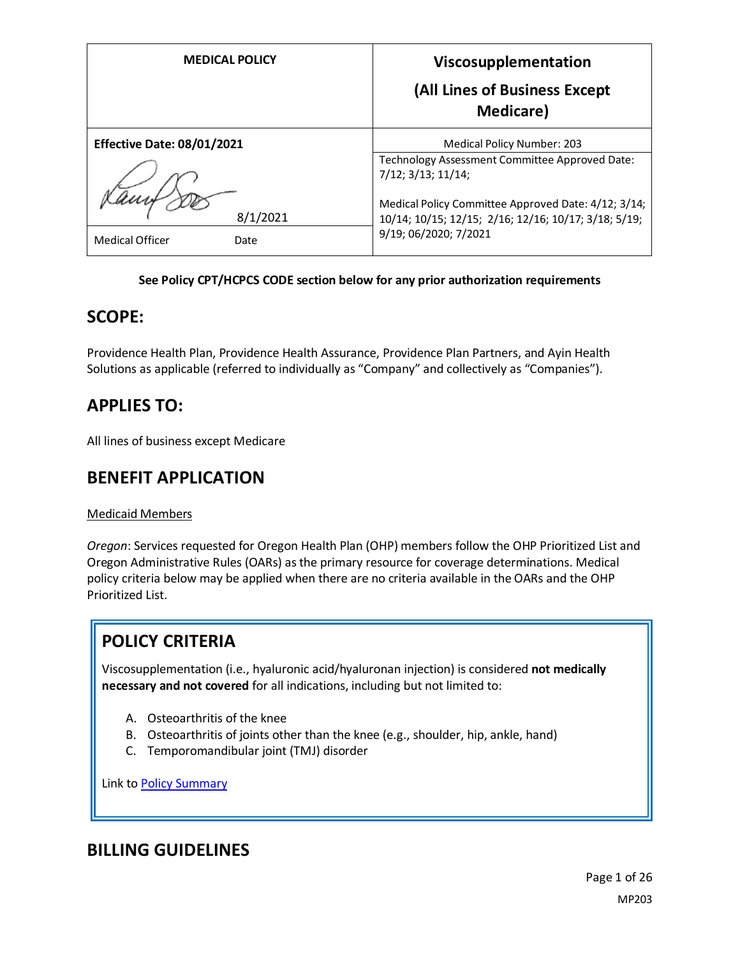| <b>MEDICAL POLICY</b>             | Viscosupplementation<br>(All Lines of Business Except<br><b>Medicare</b> )                                                           |
|-----------------------------------|--------------------------------------------------------------------------------------------------------------------------------------|
| <b>Effective Date: 08/01/2021</b> | Medical Policy Number: 203                                                                                                           |
|                                   | Technology Assessment Committee Approved Date:<br>7/12; 3/13; 11/14;                                                                 |
| 8/1/2021                          | Medical Policy Committee Approved Date: 4/12; 3/14;<br>10/14; 10/15; 12/15; 2/16; 12/16; 10/17; 3/18; 5/19;<br>9/19; 06/2020; 7/2021 |
| <b>Medical Officer</b><br>Date    |                                                                                                                                      |

# **See Policy CPT/HCPCS CODE section below for any prior authorization requirements**

# **SCOPE:**

Providence Health Plan, Providence Health Assurance, Providence Plan Partners, and Ayin Health Solutions as applicable (referred to individually as "Company" and collectively as "Companies").

# **APPLIES TO:**

All lines of business except Medicare

# **BENEFIT APPLICATION**

#### Medicaid Members

*Oregon*: Services requested for Oregon Health Plan (OHP) members follow the OHP Prioritized List and Oregon Administrative Rules (OARs) as the primary resource for coverage determinations. Medical policy criteria below may be applied when there are no criteria available in the OARs and the OHP Prioritized List.

# **POLICY CRITERIA**

Viscosupplementation (i.e., hyaluronic acid/hyaluronan injection) is considered **not medically necessary and not covered** for all indications, including but not limited to:

- A. Osteoarthritis of the knee
- B. Osteoarthritis of joints other than the knee (e.g., shoulder, hip, ankle, hand)
- C. Temporomandibular joint (TMJ) disorder

Link t[o Policy Summary](#page-20-0)

# **BILLING GUIDELINES**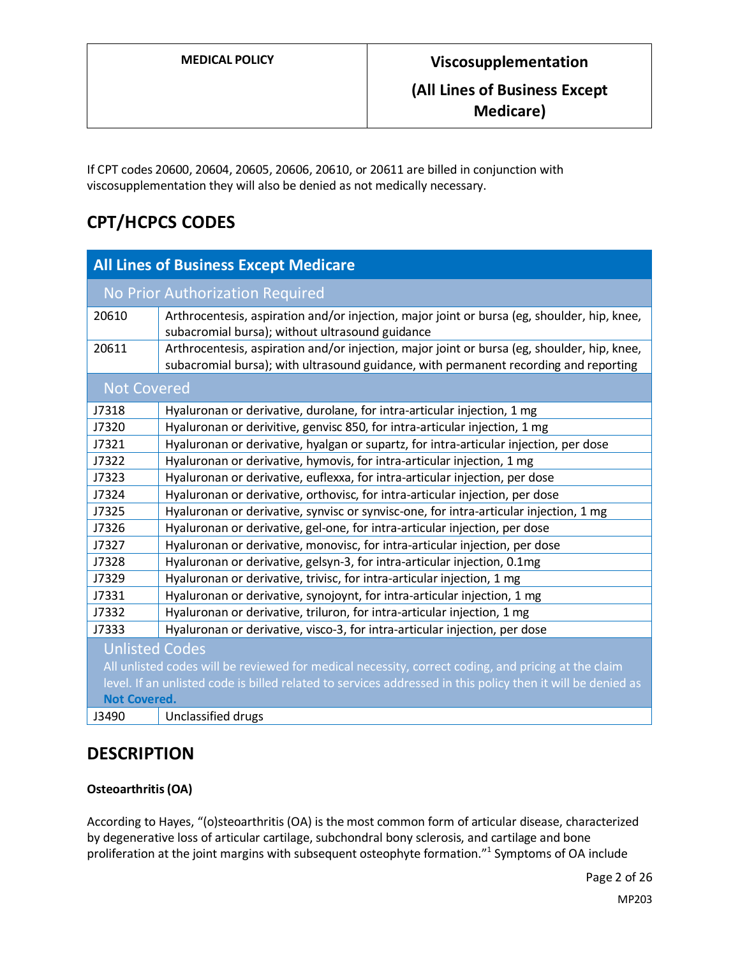**Medicare)**

If CPT codes 20600, 20604, 20605, 20606, 20610, or 20611 are billed in conjunction with viscosupplementation they will also be denied as not medically necessary.

# **CPT/HCPCS CODES**

| <b>All Lines of Business Except Medicare</b>                                                                |                                                                                                                                                                                     |  |  |  |
|-------------------------------------------------------------------------------------------------------------|-------------------------------------------------------------------------------------------------------------------------------------------------------------------------------------|--|--|--|
| No Prior Authorization Required                                                                             |                                                                                                                                                                                     |  |  |  |
| 20610                                                                                                       | Arthrocentesis, aspiration and/or injection, major joint or bursa (eg, shoulder, hip, knee,<br>subacromial bursa); without ultrasound guidance                                      |  |  |  |
| 20611                                                                                                       | Arthrocentesis, aspiration and/or injection, major joint or bursa (eg, shoulder, hip, knee,<br>subacromial bursa); with ultrasound guidance, with permanent recording and reporting |  |  |  |
| <b>Not Covered</b>                                                                                          |                                                                                                                                                                                     |  |  |  |
| J7318                                                                                                       | Hyaluronan or derivative, durolane, for intra-articular injection, 1 mg                                                                                                             |  |  |  |
| J7320                                                                                                       | Hyaluronan or derivitive, genvisc 850, for intra-articular injection, 1 mg                                                                                                          |  |  |  |
| J7321                                                                                                       | Hyaluronan or derivative, hyalgan or supartz, for intra-articular injection, per dose                                                                                               |  |  |  |
| J7322                                                                                                       | Hyaluronan or derivative, hymovis, for intra-articular injection, 1 mg                                                                                                              |  |  |  |
| J7323                                                                                                       | Hyaluronan or derivative, euflexxa, for intra-articular injection, per dose                                                                                                         |  |  |  |
| J7324                                                                                                       | Hyaluronan or derivative, orthovisc, for intra-articular injection, per dose                                                                                                        |  |  |  |
| J7325                                                                                                       | Hyaluronan or derivative, synvisc or synvisc-one, for intra-articular injection, 1 mg                                                                                               |  |  |  |
| J7326                                                                                                       | Hyaluronan or derivative, gel-one, for intra-articular injection, per dose                                                                                                          |  |  |  |
| J7327                                                                                                       | Hyaluronan or derivative, monovisc, for intra-articular injection, per dose                                                                                                         |  |  |  |
| J7328                                                                                                       | Hyaluronan or derivative, gelsyn-3, for intra-articular injection, 0.1mg                                                                                                            |  |  |  |
| J7329                                                                                                       | Hyaluronan or derivative, trivisc, for intra-articular injection, 1 mg                                                                                                              |  |  |  |
| J7331                                                                                                       | Hyaluronan or derivative, synojoynt, for intra-articular injection, 1 mg                                                                                                            |  |  |  |
| J7332                                                                                                       | Hyaluronan or derivative, triluron, for intra-articular injection, 1 mg                                                                                                             |  |  |  |
| J7333                                                                                                       | Hyaluronan or derivative, visco-3, for intra-articular injection, per dose                                                                                                          |  |  |  |
| <b>Unlisted Codes</b>                                                                                       |                                                                                                                                                                                     |  |  |  |
| All unlisted codes will be reviewed for medical necessity, correct coding, and pricing at the claim         |                                                                                                                                                                                     |  |  |  |
| level. If an unlisted code is billed related to services addressed in this policy then it will be denied as |                                                                                                                                                                                     |  |  |  |
| <b>Not Covered.</b>                                                                                         |                                                                                                                                                                                     |  |  |  |
| J3490                                                                                                       | Unclassified drugs                                                                                                                                                                  |  |  |  |

# **DESCRIPTION**

# **Osteoarthritis (OA)**

According to Hayes, "(o)steoarthritis (OA) is the most common form of articular disease, characterized by degenerative loss of articular cartilage, subchondral bony sclerosis, and cartilage and bone proliferation at the joint margins with subsequent osteophyte formation." <sup>1</sup> Symptoms of OA include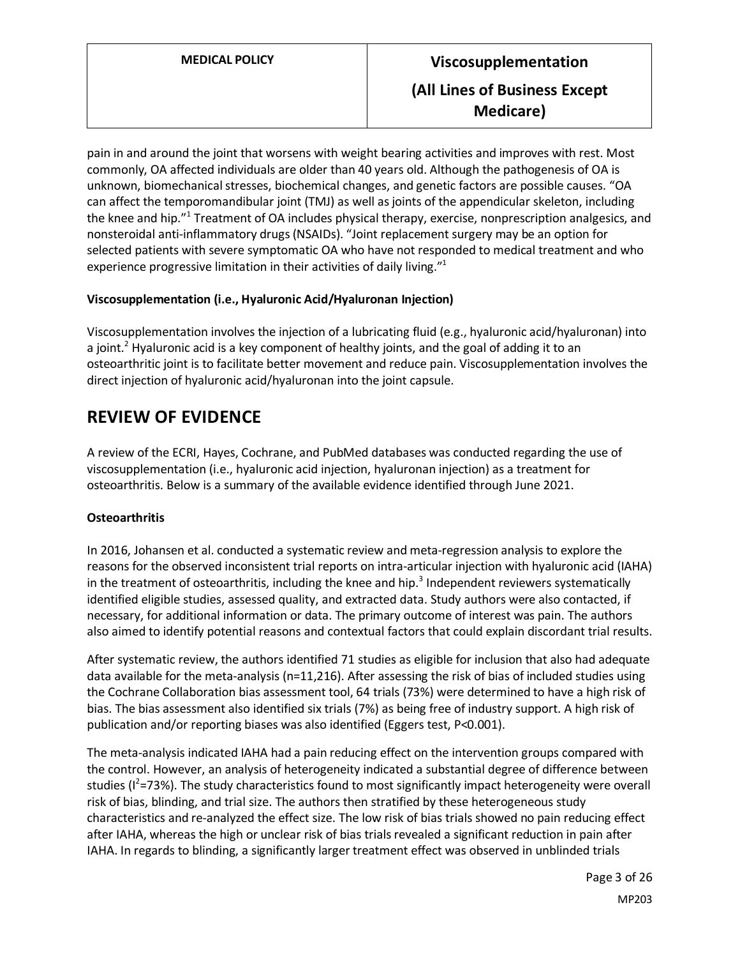pain in and around the joint that worsens with weight bearing activities and improves with rest. Most commonly, OA affected individuals are older than 40 years old. Although the pathogenesis of OA is unknown, biomechanical stresses, biochemical changes, and genetic factors are possible causes. "OA can affect the temporomandibular joint (TMJ) as well as joints of the appendicular skeleton, including the knee and hip."<sup>1</sup> Treatment of OA includes physical therapy, exercise, nonprescription analgesics, and nonsteroidal anti-inflammatory drugs (NSAIDs). "Joint replacement surgery may be an option for selected patients with severe symptomatic OA who have not responded to medical treatment and who experience progressive limitation in their activities of daily living."1

# **Viscosupplementation (i.e., Hyaluronic Acid/Hyaluronan Injection)**

Viscosupplementation involves the injection of a lubricating fluid (e.g., hyaluronic acid/hyaluronan) into a joint.<sup>2</sup> Hyaluronic acid is a key component of healthy joints, and the goal of adding it to an osteoarthritic joint is to facilitate better movement and reduce pain. Viscosupplementation involves the direct injection of hyaluronic acid/hyaluronan into the joint capsule.

# **REVIEW OF EVIDENCE**

A review of the ECRI, Hayes, Cochrane, and PubMed databases was conducted regarding the use of viscosupplementation (i.e., hyaluronic acid injection, hyaluronan injection) as a treatment for osteoarthritis. Below is a summary of the available evidence identified through June 2021.

# **Osteoarthritis**

In 2016, Johansen et al. conducted a systematic review and meta-regression analysis to explore the reasons for the observed inconsistent trial reports on intra-articular injection with hyaluronic acid (IAHA) in the treatment of osteoarthritis, including the knee and hip. <sup>3</sup> Independent reviewers systematically identified eligible studies, assessed quality, and extracted data. Study authors were also contacted, if necessary, for additional information or data. The primary outcome of interest was pain. The authors also aimed to identify potential reasons and contextual factors that could explain discordant trial results.

After systematic review, the authors identified 71 studies as eligible for inclusion that also had adequate data available for the meta-analysis (n=11,216). After assessing the risk of bias of included studies using the Cochrane Collaboration bias assessment tool, 64 trials (73%) were determined to have a high risk of bias. The bias assessment also identified six trials (7%) as being free of industry support. A high risk of publication and/or reporting biases was also identified (Eggers test, P<0.001).

The meta-analysis indicated IAHA had a pain reducing effect on the intervention groups compared with the control. However, an analysis of heterogeneity indicated a substantial degree of difference between studies (I<sup>2</sup>=73%). The study characteristics found to most significantly impact heterogeneity were overall risk of bias, blinding, and trial size. The authors then stratified by these heterogeneous study characteristics and re-analyzed the effect size. The low risk of bias trials showed no pain reducing effect after IAHA, whereas the high or unclear risk of bias trials revealed a significant reduction in pain after IAHA. In regards to blinding, a significantly larger treatment effect was observed in unblinded trials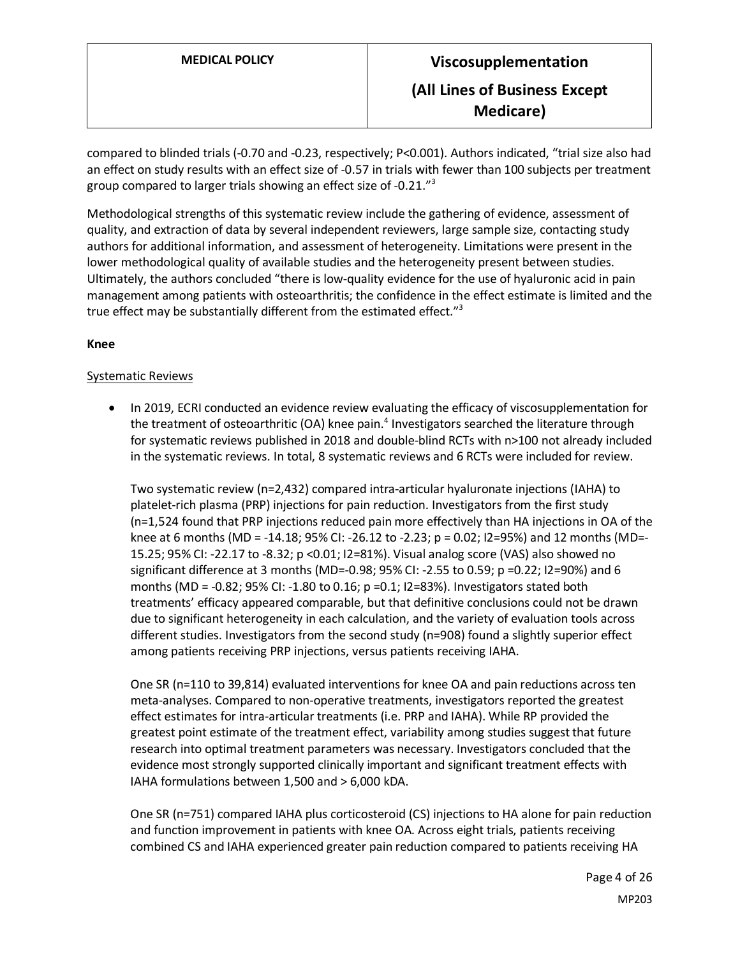compared to blinded trials (-0.70 and -0.23, respectively; P<0.001). Authors indicated, "trial size also had an effect on study results with an effect size of -0.57 in trials with fewer than 100 subjects per treatment group compared to larger trials showing an effect size of -0.21."<sup>3</sup>

Methodological strengths of this systematic review include the gathering of evidence, assessment of quality, and extraction of data by several independent reviewers, large sample size, contacting study authors for additional information, and assessment of heterogeneity. Limitations were present in the lower methodological quality of available studies and the heterogeneity present between studies. Ultimately, the authors concluded "there is low-quality evidence for the use of hyaluronic acid in pain management among patients with osteoarthritis; the confidence in the effect estimate is limited and the true effect may be substantially different from the estimated effect."<sup>3</sup>

## **Knee**

## Systematic Reviews

• In 2019, ECRI conducted an evidence review evaluating the efficacy of viscosupplementation for the treatment of osteoarthritic (OA) knee pain.<sup>4</sup> Investigators searched the literature through for systematic reviews published in 2018 and double-blind RCTs with n>100 not already included in the systematic reviews. In total, 8 systematic reviews and 6 RCTs were included for review.

Two systematic review (n=2,432) compared intra-articular hyaluronate injections (IAHA) to platelet-rich plasma (PRP) injections for pain reduction. Investigators from the first study (n=1,524 found that PRP injections reduced pain more effectively than HA injections in OA of the knee at 6 months (MD = -14.18; 95% CI: -26.12 to -2.23; p = 0.02; I2=95%) and 12 months (MD=- 15.25; 95% CI: -22.17 to -8.32; p <0.01; I2=81%). Visual analog score (VAS) also showed no significant difference at 3 months (MD=-0.98; 95% CI: -2.55 to 0.59; p =0.22; I2=90%) and 6 months (MD =  $-0.82$ ; 95% CI:  $-1.80$  to 0.16; p =0.1; I2=83%). Investigators stated both treatments' efficacy appeared comparable, but that definitive conclusions could not be drawn due to significant heterogeneity in each calculation, and the variety of evaluation tools across different studies. Investigators from the second study (n=908) found a slightly superior effect among patients receiving PRP injections, versus patients receiving IAHA.

One SR (n=110 to 39,814) evaluated interventions for knee OA and pain reductions across ten meta-analyses. Compared to non-operative treatments, investigators reported the greatest effect estimates for intra-articular treatments (i.e. PRP and IAHA). While RP provided the greatest point estimate of the treatment effect, variability among studies suggest that future research into optimal treatment parameters was necessary. Investigators concluded that the evidence most strongly supported clinically important and significant treatment effects with IAHA formulations between 1,500 and > 6,000 kDA.

One SR (n=751) compared IAHA plus corticosteroid (CS) injections to HA alone for pain reduction and function improvement in patients with knee OA. Across eight trials, patients receiving combined CS and IAHA experienced greater pain reduction compared to patients receiving HA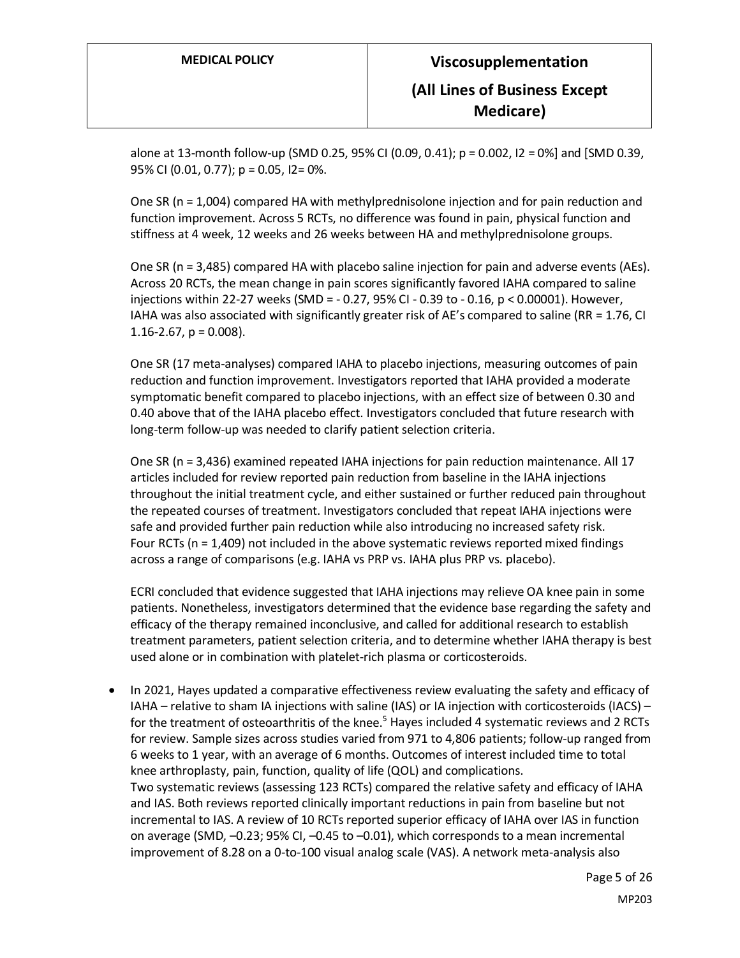alone at 13-month follow-up (SMD 0.25, 95% CI (0.09, 0.41); p = 0.002, I2 = 0%] and [SMD 0.39, 95% CI (0.01, 0.77); p = 0.05, I2= 0%.

One SR (n = 1,004) compared HA with methylprednisolone injection and for pain reduction and function improvement. Across 5 RCTs, no difference was found in pain, physical function and stiffness at 4 week, 12 weeks and 26 weeks between HA and methylprednisolone groups.

One SR (n = 3,485) compared HA with placebo saline injection for pain and adverse events (AEs). Across 20 RCTs, the mean change in pain scores significantly favored IAHA compared to saline injections within 22-27 weeks (SMD = - 0.27, 95% CI - 0.39 to - 0.16, p < 0.00001). However, IAHA was also associated with significantly greater risk of AE's compared to saline (RR = 1.76, CI 1.16-2.67,  $p = 0.008$ ).

One SR (17 meta-analyses) compared IAHA to placebo injections, measuring outcomes of pain reduction and function improvement. Investigators reported that IAHA provided a moderate symptomatic benefit compared to placebo injections, with an effect size of between 0.30 and 0.40 above that of the IAHA placebo effect. Investigators concluded that future research with long-term follow-up was needed to clarify patient selection criteria.

One SR (n = 3,436) examined repeated IAHA injections for pain reduction maintenance. All 17 articles included for review reported pain reduction from baseline in the IAHA injections throughout the initial treatment cycle, and either sustained or further reduced pain throughout the repeated courses of treatment. Investigators concluded that repeat IAHA injections were safe and provided further pain reduction while also introducing no increased safety risk. Four RCTs ( $n = 1,409$ ) not included in the above systematic reviews reported mixed findings across a range of comparisons (e.g. IAHA vs PRP vs. IAHA plus PRP vs. placebo).

ECRI concluded that evidence suggested that IAHA injections may relieve OA knee pain in some patients. Nonetheless, investigators determined that the evidence base regarding the safety and efficacy of the therapy remained inconclusive, and called for additional research to establish treatment parameters, patient selection criteria, and to determine whether IAHA therapy is best used alone or in combination with platelet-rich plasma or corticosteroids.

• In 2021, Hayes updated a comparative effectiveness review evaluating the safety and efficacy of IAHA – relative to sham IA injections with saline (IAS) or IA injection with corticosteroids (IACS) – for the treatment of osteoarthritis of the knee.<sup>5</sup> Hayes included 4 systematic reviews and 2 RCTs for review. Sample sizes across studies varied from 971 to 4,806 patients; follow-up ranged from 6 weeks to 1 year, with an average of 6 months. Outcomes of interest included time to total knee arthroplasty, pain, function, quality of life (QOL) and complications. Two systematic reviews (assessing 123 RCTs) compared the relative safety and efficacy of IAHA and IAS. Both reviews reported clinically important reductions in pain from baseline but not incremental to IAS. A review of 10 RCTs reported superior efficacy of IAHA over IAS in function on average (SMD, –0.23; 95% CI, –0.45 to –0.01), which corresponds to a mean incremental improvement of 8.28 on a 0-to-100 visual analog scale (VAS). A network meta-analysis also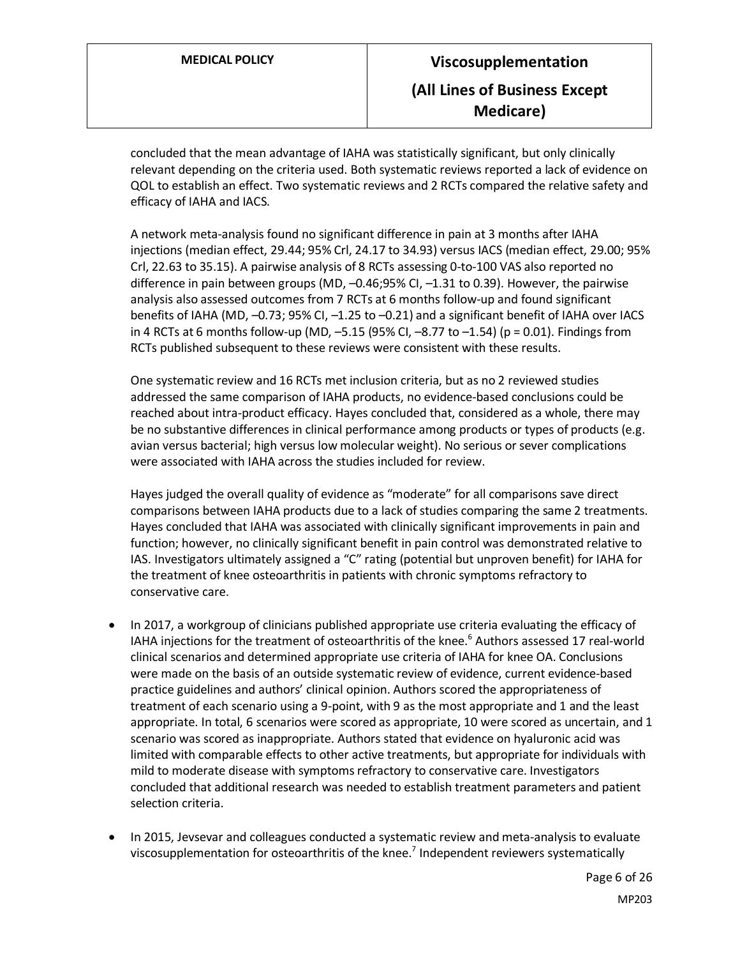concluded that the mean advantage of IAHA was statistically significant, but only clinically relevant depending on the criteria used. Both systematic reviews reported a lack of evidence on QOL to establish an effect. Two systematic reviews and 2 RCTs compared the relative safety and efficacy of IAHA and IACS.

A network meta-analysis found no significant difference in pain at 3 months after IAHA injections (median effect, 29.44; 95% Crl, 24.17 to 34.93) versus IACS (median effect, 29.00; 95% Crl, 22.63 to 35.15). A pairwise analysis of 8 RCTs assessing 0-to-100 VAS also reported no difference in pain between groups (MD, –0.46;95% CI, –1.31 to 0.39). However, the pairwise analysis also assessed outcomes from 7 RCTs at 6 months follow-up and found significant benefits of IAHA (MD, –0.73; 95% CI, –1.25 to –0.21) and a significant benefit of IAHA over IACS in 4 RCTs at 6 months follow-up (MD,  $-5.15$  (95% CI,  $-8.77$  to  $-1.54$ ) (p = 0.01). Findings from RCTs published subsequent to these reviews were consistent with these results.

One systematic review and 16 RCTs met inclusion criteria, but as no 2 reviewed studies addressed the same comparison of IAHA products, no evidence-based conclusions could be reached about intra-product efficacy. Hayes concluded that, considered as a whole, there may be no substantive differences in clinical performance among products or types of products (e.g. avian versus bacterial; high versus low molecular weight). No serious or sever complications were associated with IAHA across the studies included for review.

Hayes judged the overall quality of evidence as "moderate" for all comparisons save direct comparisons between IAHA products due to a lack of studies comparing the same 2 treatments. Hayes concluded that IAHA was associated with clinically significant improvements in pain and function; however, no clinically significant benefit in pain control was demonstrated relative to IAS. Investigators ultimately assigned a "C" rating (potential but unproven benefit) for IAHA for the treatment of knee osteoarthritis in patients with chronic symptoms refractory to conservative care.

- In 2017, a workgroup of clinicians published appropriate use criteria evaluating the efficacy of IAHA injections for the treatment of osteoarthritis of the knee.<sup>6</sup> Authors assessed 17 real-world clinical scenarios and determined appropriate use criteria of IAHA for knee OA. Conclusions were made on the basis of an outside systematic review of evidence, current evidence-based practice guidelines and authors' clinical opinion. Authors scored the appropriateness of treatment of each scenario using a 9-point, with 9 as the most appropriate and 1 and the least appropriate. In total, 6 scenarios were scored as appropriate, 10 were scored as uncertain, and 1 scenario was scored as inappropriate. Authors stated that evidence on hyaluronic acid was limited with comparable effects to other active treatments, but appropriate for individuals with mild to moderate disease with symptoms refractory to conservative care. Investigators concluded that additional research was needed to establish treatment parameters and patient selection criteria.
- In 2015, Jevsevar and colleagues conducted a systematic review and meta-analysis to evaluate viscosupplementation for osteoarthritis of the knee.<sup>7</sup> Independent reviewers systematically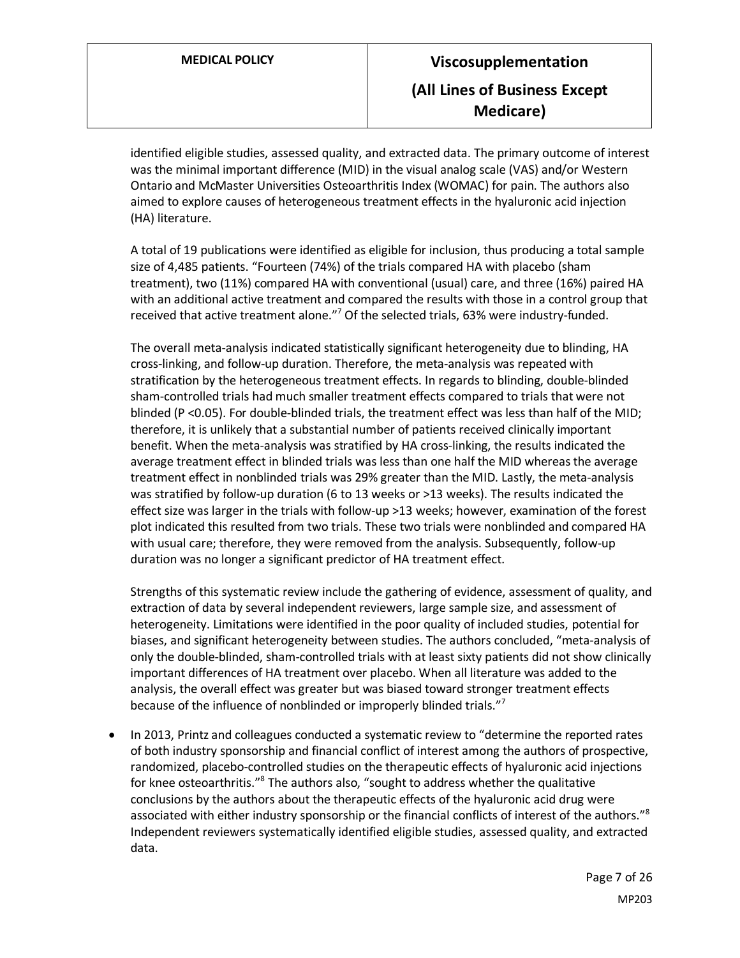identified eligible studies, assessed quality, and extracted data. The primary outcome of interest was the minimal important difference (MID) in the visual analog scale (VAS) and/or Western Ontario and McMaster Universities Osteoarthritis Index (WOMAC) for pain. The authors also aimed to explore causes of heterogeneous treatment effects in the hyaluronic acid injection (HA) literature.

A total of 19 publications were identified as eligible for inclusion, thus producing a total sample size of 4,485 patients. "Fourteen (74%) of the trials compared HA with placebo (sham treatment), two (11%) compared HA with conventional (usual) care, and three (16%) paired HA with an additional active treatment and compared the results with those in a control group that received that active treatment alone."<sup>7</sup> Of the selected trials, 63% were industry-funded.

The overall meta-analysis indicated statistically significant heterogeneity due to blinding, HA cross-linking, and follow-up duration. Therefore, the meta-analysis was repeated with stratification by the heterogeneous treatment effects. In regards to blinding, double-blinded sham-controlled trials had much smaller treatment effects compared to trials that were not blinded (P <0.05). For double-blinded trials, the treatment effect was less than half of the MID; therefore, it is unlikely that a substantial number of patients received clinically important benefit. When the meta-analysis was stratified by HA cross-linking, the results indicated the average treatment effect in blinded trials was less than one half the MID whereas the average treatment effect in nonblinded trials was 29% greater than the MID. Lastly, the meta-analysis was stratified by follow-up duration (6 to 13 weeks or >13 weeks). The results indicated the effect size was larger in the trials with follow-up >13 weeks; however, examination of the forest plot indicated this resulted from two trials. These two trials were nonblinded and compared HA with usual care; therefore, they were removed from the analysis. Subsequently, follow-up duration was no longer a significant predictor of HA treatment effect.

Strengths of this systematic review include the gathering of evidence, assessment of quality, and extraction of data by several independent reviewers, large sample size, and assessment of heterogeneity. Limitations were identified in the poor quality of included studies, potential for biases, and significant heterogeneity between studies. The authors concluded, "meta-analysis of only the double-blinded, sham-controlled trials with at least sixty patients did not show clinically important differences of HA treatment over placebo. When all literature was added to the analysis, the overall effect was greater but was biased toward stronger treatment effects because of the influence of nonblinded or improperly blinded trials."<sup>7</sup>

• In 2013, Printz and colleagues conducted a systematic review to "determine the reported rates of both industry sponsorship and financial conflict of interest among the authors of prospective, randomized, placebo-controlled studies on the therapeutic effects of hyaluronic acid injections for knee osteoarthritis."<sup>8</sup> The authors also, "sought to address whether the qualitative conclusions by the authors about the therapeutic effects of the hyaluronic acid drug were associated with either industry sponsorship or the financial conflicts of interest of the authors."<sup>8</sup> Independent reviewers systematically identified eligible studies, assessed quality, and extracted data.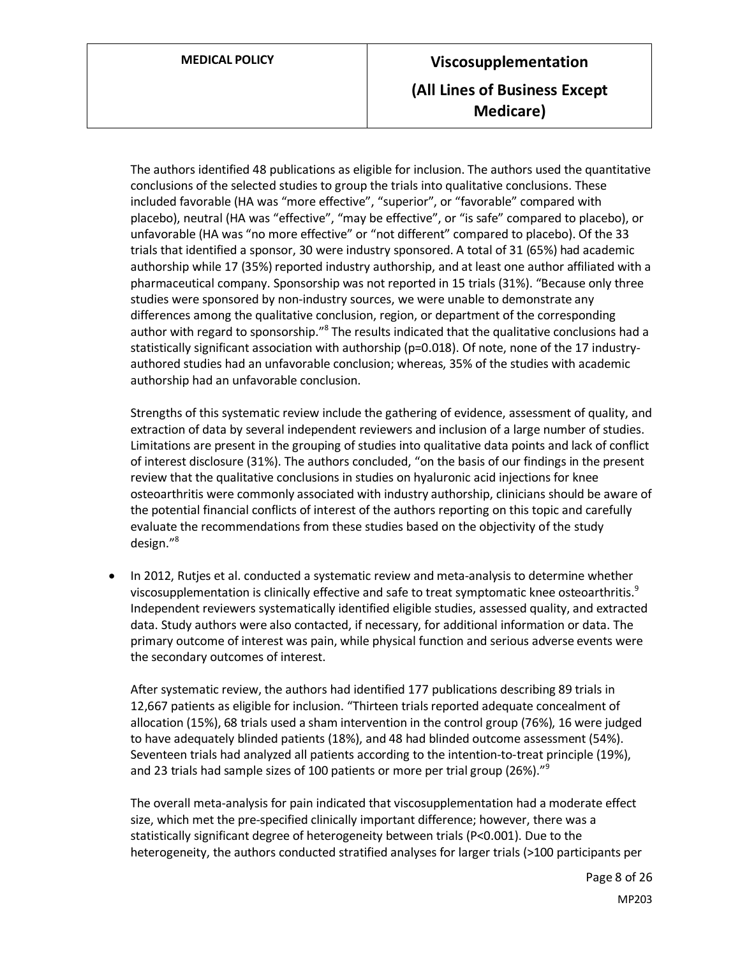The authors identified 48 publications as eligible for inclusion. The authors used the quantitative conclusions of the selected studies to group the trials into qualitative conclusions. These included favorable (HA was "more effective", "superior", or "favorable" compared with placebo), neutral (HA was "effective", "may be effective", or "is safe" compared to placebo), or unfavorable (HA was "no more effective" or "not different" compared to placebo). Of the 33 trials that identified a sponsor, 30 were industry sponsored. A total of 31 (65%) had academic authorship while 17 (35%) reported industry authorship, and at least one author affiliated with a pharmaceutical company. Sponsorship was not reported in 15 trials (31%). "Because only three studies were sponsored by non-industry sources, we were unable to demonstrate any differences among the qualitative conclusion, region, or department of the corresponding author with regard to sponsorship."<sup>8</sup> The results indicated that the qualitative conclusions had a statistically significant association with authorship (p=0.018). Of note, none of the 17 industryauthored studies had an unfavorable conclusion; whereas, 35% of the studies with academic authorship had an unfavorable conclusion.

Strengths of this systematic review include the gathering of evidence, assessment of quality, and extraction of data by several independent reviewers and inclusion of a large number of studies. Limitations are present in the grouping of studies into qualitative data points and lack of conflict of interest disclosure (31%). The authors concluded, "on the basis of our findings in the present review that the qualitative conclusions in studies on hyaluronic acid injections for knee osteoarthritis were commonly associated with industry authorship, clinicians should be aware of the potential financial conflicts of interest of the authors reporting on this topic and carefully evaluate the recommendations from these studies based on the objectivity of the study design." 8

• In 2012, Rutjes et al. conducted a systematic review and meta-analysis to determine whether viscosupplementation is clinically effective and safe to treat symptomatic knee osteoarthritis.<sup>9</sup> Independent reviewers systematically identified eligible studies, assessed quality, and extracted data. Study authors were also contacted, if necessary, for additional information or data. The primary outcome of interest was pain, while physical function and serious adverse events were the secondary outcomes of interest.

After systematic review, the authors had identified 177 publications describing 89 trials in 12,667 patients as eligible for inclusion. "Thirteen trials reported adequate concealment of allocation (15%), 68 trials used a sham intervention in the control group (76%), 16 were judged to have adequately blinded patients (18%), and 48 had blinded outcome assessment (54%). Seventeen trials had analyzed all patients according to the intention-to-treat principle (19%), and 23 trials had sample sizes of 100 patients or more per trial group (26%)."<sup>9</sup>

The overall meta-analysis for pain indicated that viscosupplementation had a moderate effect size, which met the pre-specified clinically important difference; however, there was a statistically significant degree of heterogeneity between trials (P<0.001). Due to the heterogeneity, the authors conducted stratified analyses for larger trials (>100 participants per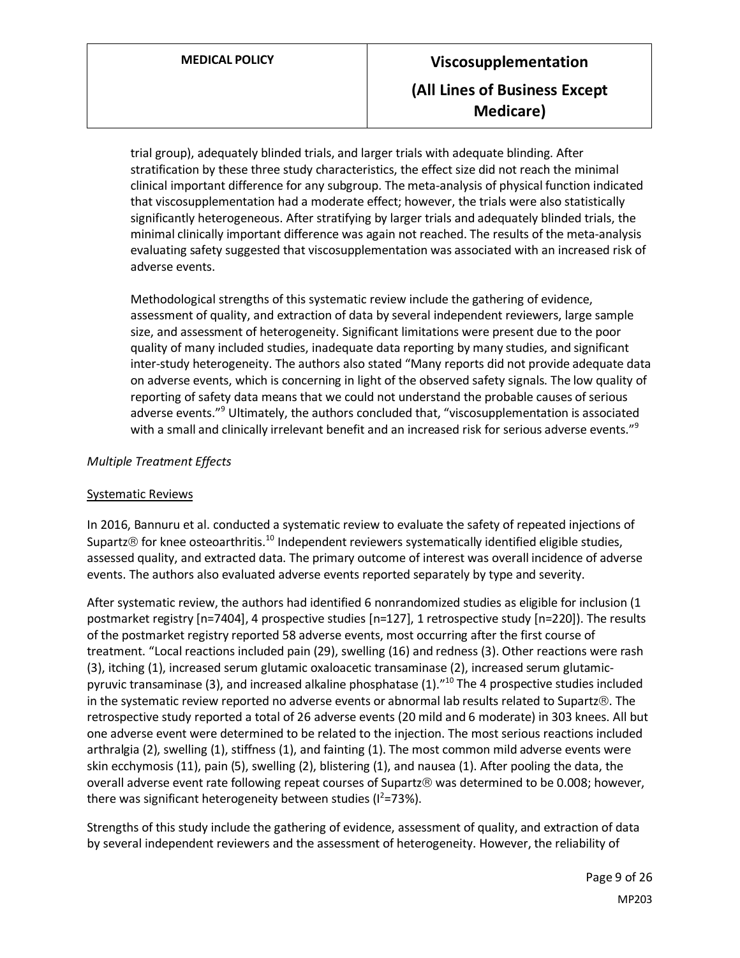trial group), adequately blinded trials, and larger trials with adequate blinding. After stratification by these three study characteristics, the effect size did not reach the minimal clinical important difference for any subgroup. The meta-analysis of physical function indicated that viscosupplementation had a moderate effect; however, the trials were also statistically significantly heterogeneous. After stratifying by larger trials and adequately blinded trials, the minimal clinically important difference was again not reached. The results of the meta-analysis evaluating safety suggested that viscosupplementation was associated with an increased risk of adverse events.

Methodological strengths of this systematic review include the gathering of evidence, assessment of quality, and extraction of data by several independent reviewers, large sample size, and assessment of heterogeneity. Significant limitations were present due to the poor quality of many included studies, inadequate data reporting by many studies, and significant inter-study heterogeneity. The authors also stated "Many reports did not provide adequate data on adverse events, which is concerning in light of the observed safety signals. The low quality of reporting of safety data means that we could not understand the probable causes of serious adverse events."<sup>9</sup> Ultimately, the authors concluded that, "viscosupplementation is associated with a small and clinically irrelevant benefit and an increased risk for serious adverse events."<sup>9</sup>

# *Multiple Treatment Effects*

# Systematic Reviews

In 2016, Bannuru et al. conducted a systematic review to evaluate the safety of repeated injections of Supartz $\odot$  for knee osteoarthritis.<sup>10</sup> Independent reviewers systematically identified eligible studies, assessed quality, and extracted data. The primary outcome of interest was overall incidence of adverse events. The authors also evaluated adverse events reported separately by type and severity.

After systematic review, the authors had identified 6 nonrandomized studies as eligible for inclusion (1 postmarket registry [n=7404], 4 prospective studies [n=127], 1 retrospective study [n=220]). The results of the postmarket registry reported 58 adverse events, most occurring after the first course of treatment. "Local reactions included pain (29), swelling (16) and redness (3). Other reactions were rash (3), itching (1), increased serum glutamic oxaloacetic transaminase (2), increased serum glutamicpyruvic transaminase (3), and increased alkaline phosphatase (1)."<sup>10</sup> The 4 prospective studies included in the systematic review reported no adverse events or abnormal lab results related to Supartz®. The retrospective study reported a total of 26 adverse events (20 mild and 6 moderate) in 303 knees. All but one adverse event were determined to be related to the injection. The most serious reactions included arthralgia (2), swelling (1), stiffness (1), and fainting (1). The most common mild adverse events were skin ecchymosis (11), pain (5), swelling (2), blistering (1), and nausea (1). After pooling the data, the overall adverse event rate following repeat courses of Supartz® was determined to be 0.008; however, there was significant heterogeneity between studies ( $1^2$ =73%).

Strengths of this study include the gathering of evidence, assessment of quality, and extraction of data by several independent reviewers and the assessment of heterogeneity. However, the reliability of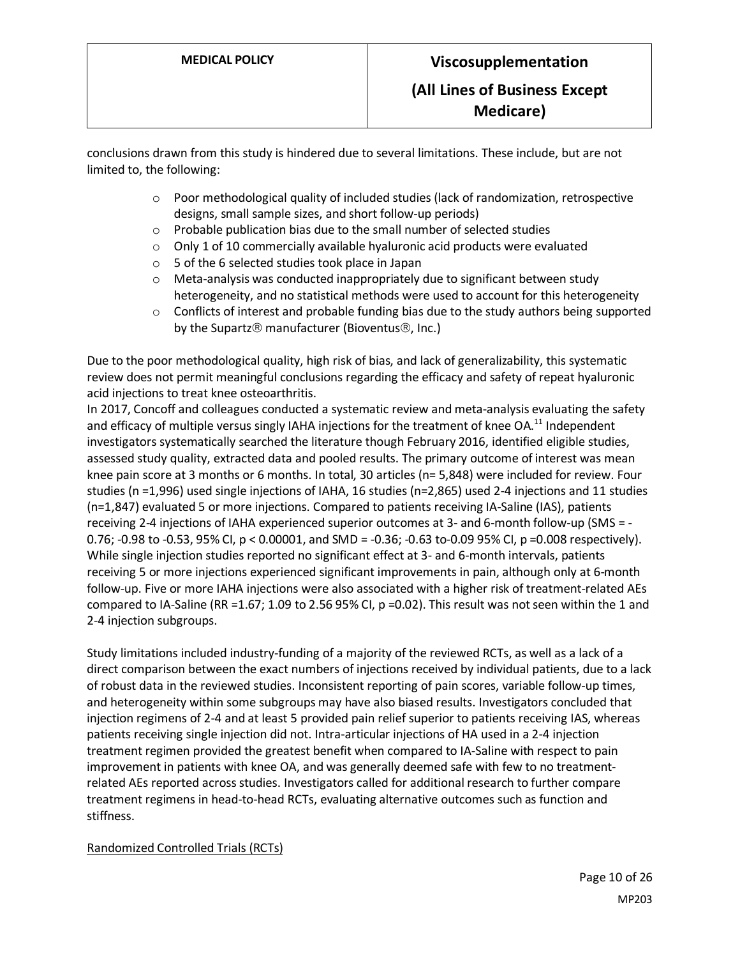conclusions drawn from this study is hindered due to several limitations. These include, but are not limited to, the following:

- $\circ$  Poor methodological quality of included studies (lack of randomization, retrospective designs, small sample sizes, and short follow-up periods)
- o Probable publication bias due to the small number of selected studies
- o Only 1 of 10 commercially available hyaluronic acid products were evaluated
- o 5 of the 6 selected studies took place in Japan
- o Meta-analysis was conducted inappropriately due to significant between study heterogeneity, and no statistical methods were used to account for this heterogeneity
- $\circ$  Conflicts of interest and probable funding bias due to the study authors being supported by the Supartz $\circledR$  manufacturer (Bioventus $\circledR$ , Inc.)

Due to the poor methodological quality, high risk of bias, and lack of generalizability, this systematic review does not permit meaningful conclusions regarding the efficacy and safety of repeat hyaluronic acid injections to treat knee osteoarthritis.

In 2017, Concoff and colleagues conducted a systematic review and meta-analysis evaluating the safety and efficacy of multiple versus singly IAHA injections for the treatment of knee OA.<sup>11</sup> Independent investigators systematically searched the literature though February 2016, identified eligible studies, assessed study quality, extracted data and pooled results. The primary outcome of interest was mean knee pain score at 3 months or 6 months. In total, 30 articles (n= 5,848) were included for review. Four studies (n =1,996) used single injections of IAHA, 16 studies (n=2,865) used 2-4 injections and 11 studies (n=1,847) evaluated 5 or more injections. Compared to patients receiving IA-Saline (IAS), patients receiving 2-4 injections of IAHA experienced superior outcomes at 3- and 6-month follow-up (SMS = - 0.76; -0.98 to -0.53, 95% CI,  $p < 0.00001$ , and SMD = -0.36; -0.63 to-0.09 95% CI,  $p = 0.008$  respectively). While single injection studies reported no significant effect at 3- and 6-month intervals, patients receiving 5 or more injections experienced significant improvements in pain, although only at 6-month follow-up. Five or more IAHA injections were also associated with a higher risk of treatment-related AEs compared to IA-Saline (RR =1.67; 1.09 to 2.56 95% CI, p =0.02). This result was not seen within the 1 and 2-4 injection subgroups.

Study limitations included industry-funding of a majority of the reviewed RCTs, as well as a lack of a direct comparison between the exact numbers of injections received by individual patients, due to a lack of robust data in the reviewed studies. Inconsistent reporting of pain scores, variable follow-up times, and heterogeneity within some subgroups may have also biased results. Investigators concluded that injection regimens of 2-4 and at least 5 provided pain relief superior to patients receiving IAS, whereas patients receiving single injection did not. Intra-articular injections of HA used in a 2-4 injection treatment regimen provided the greatest benefit when compared to IA-Saline with respect to pain improvement in patients with knee OA, and was generally deemed safe with few to no treatmentrelated AEs reported across studies. Investigators called for additional research to further compare treatment regimens in head-to-head RCTs, evaluating alternative outcomes such as function and stiffness.

# Randomized Controlled Trials (RCTs)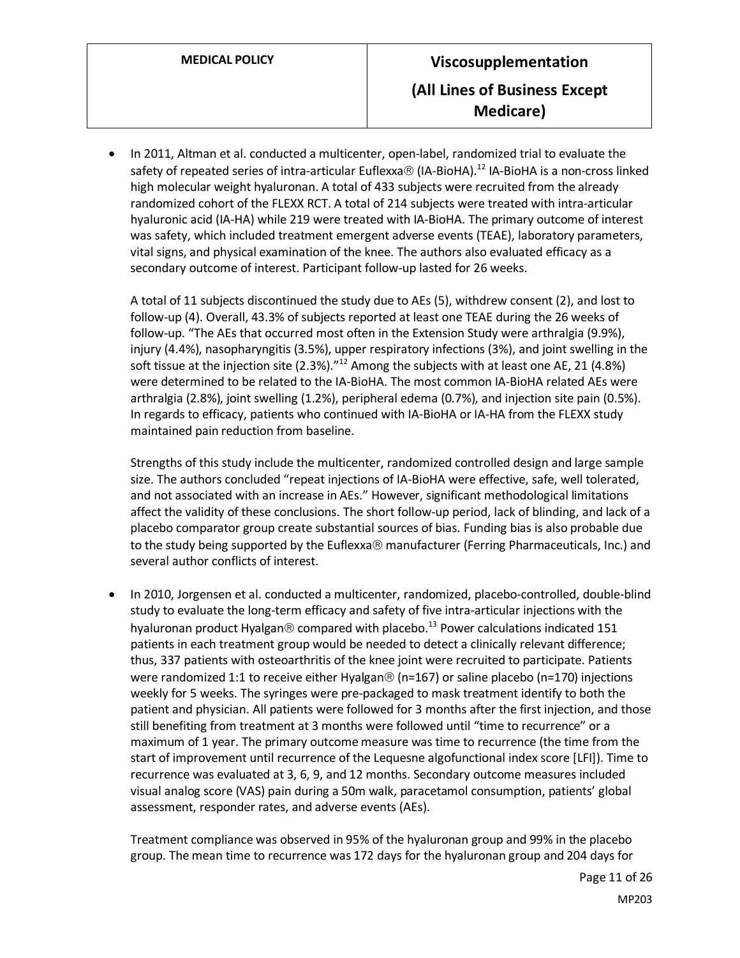• In 2011, Altman et al. conducted a multicenter, open-label, randomized trial to evaluate the safety of repeated series of intra-articular Euflexxa $\circledR$  (IA-BioHA).<sup>12</sup> IA-BioHA is a non-cross linked high molecular weight hyaluronan. A total of 433 subjects were recruited from the already randomized cohort of the FLEXX RCT. A total of 214 subjects were treated with intra-articular hyaluronic acid (IA-HA) while 219 were treated with IA-BioHA. The primary outcome of interest was safety, which included treatment emergent adverse events (TEAE), laboratory parameters, vital signs, and physical examination of the knee. The authors also evaluated efficacy as a secondary outcome of interest. Participant follow-up lasted for 26 weeks.

A total of 11 subjects discontinued the study due to AEs (5), withdrew consent (2), and lost to follow-up (4). Overall, 43.3% of subjects reported at least one TEAE during the 26 weeks of follow-up. "The AEs that occurred most often in the Extension Study were arthralgia (9.9%), injury (4.4%), nasopharyngitis (3.5%), upper respiratory infections (3%), and joint swelling in the soft tissue at the injection site (2.3%)."<sup>12</sup> Among the subjects with at least one AE, 21 (4.8%) were determined to be related to the IA-BioHA. The most common IA-BioHA related AEs were arthralgia (2.8%), joint swelling (1.2%), peripheral edema (0.7%), and injection site pain (0.5%). In regards to efficacy, patients who continued with IA-BioHA or IA-HA from the FLEXX study maintained pain reduction from baseline.

Strengths of this study include the multicenter, randomized controlled design and large sample size. The authors concluded "repeat injections of IA-BioHA were effective, safe, well tolerated, and not associated with an increase in AEs." However, significant methodological limitations affect the validity of these conclusions. The short follow-up period, lack of blinding, and lack of a placebo comparator group create substantial sources of bias. Funding bias is also probable due to the study being supported by the Euflexxa® manufacturer (Ferring Pharmaceuticals, Inc.) and several author conflicts of interest.

• In 2010, Jorgensen et al. conducted a multicenter, randomized, placebo-controlled, double-blind study to evaluate the long-term efficacy and safety of five intra-articular injections with the hyaluronan product Hyalgan  $\circledR$  compared with placebo.<sup>13</sup> Power calculations indicated 151 patients in each treatment group would be needed to detect a clinically relevant difference; thus, 337 patients with osteoarthritis of the knee joint were recruited to participate. Patients were randomized 1:1 to receive either Hyalgan® (n=167) or saline placebo (n=170) injections weekly for 5 weeks. The syringes were pre-packaged to mask treatment identify to both the patient and physician. All patients were followed for 3 months after the first injection, and those still benefiting from treatment at 3 months were followed until "time to recurrence" or a maximum of 1 year. The primary outcome measure was time to recurrence (the time from the start of improvement until recurrence of the Lequesne algofunctional index score [LFI]). Time to recurrence was evaluated at 3, 6, 9, and 12 months. Secondary outcome measures included visual analog score (VAS) pain during a 50m walk, paracetamol consumption, patients' global assessment, responder rates, and adverse events (AEs).

Treatment compliance was observed in 95% of the hyaluronan group and 99% in the placebo group. The mean time to recurrence was 172 days for the hyaluronan group and 204 days for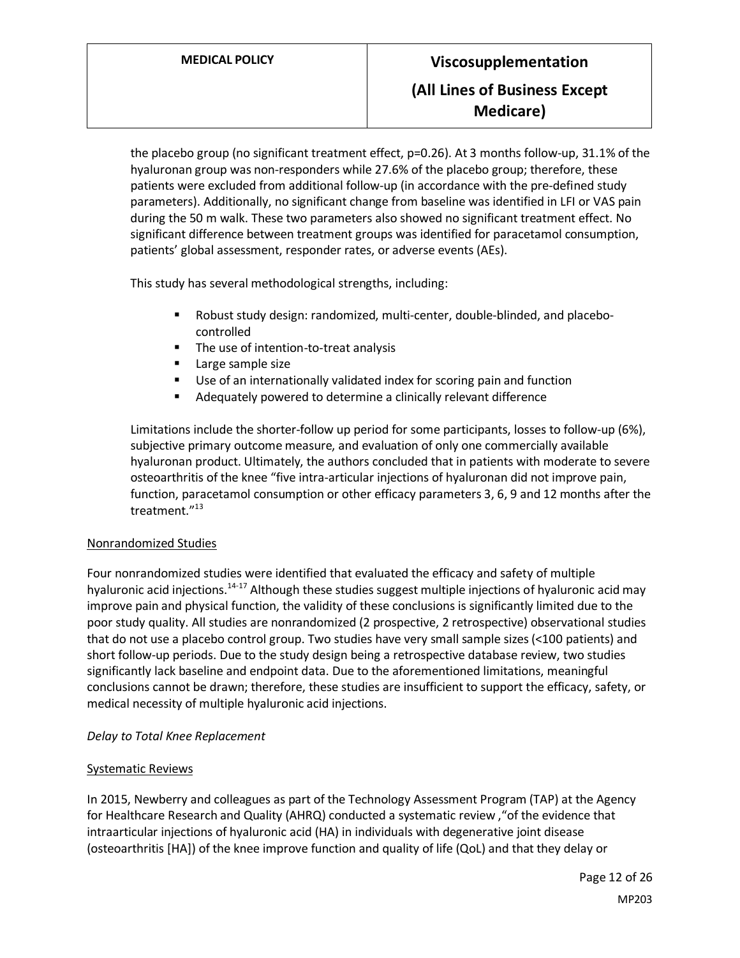the placebo group (no significant treatment effect, p=0.26). At 3 months follow-up, 31.1% of the hyaluronan group was non-responders while 27.6% of the placebo group; therefore, these patients were excluded from additional follow-up (in accordance with the pre-defined study parameters). Additionally, no significant change from baseline was identified in LFI or VAS pain during the 50 m walk. These two parameters also showed no significant treatment effect. No significant difference between treatment groups was identified for paracetamol consumption, patients' global assessment, responder rates, or adverse events (AEs).

This study has several methodological strengths, including:

- Robust study design: randomized, multi-center, double-blinded, and placebocontrolled
- The use of intention-to-treat analysis
- **Large sample size**
- Use of an internationally validated index for scoring pain and function
- Adequately powered to determine a clinically relevant difference

Limitations include the shorter-follow up period for some participants, losses to follow-up (6%), subjective primary outcome measure, and evaluation of only one commercially available hyaluronan product. Ultimately, the authors concluded that in patients with moderate to severe osteoarthritis of the knee "five intra-articular injections of hyaluronan did not improve pain, function, paracetamol consumption or other efficacy parameters 3, 6, 9 and 12 months after the treatment."<sup>13</sup>

#### Nonrandomized Studies

Four nonrandomized studies were identified that evaluated the efficacy and safety of multiple hyaluronic acid injections.<sup>14-17</sup> Although these studies suggest multiple injections of hyaluronic acid may improve pain and physical function, the validity of these conclusions is significantly limited due to the poor study quality. All studies are nonrandomized (2 prospective, 2 retrospective) observational studies that do not use a placebo control group. Two studies have very small sample sizes (<100 patients) and short follow-up periods. Due to the study design being a retrospective database review, two studies significantly lack baseline and endpoint data. Due to the aforementioned limitations, meaningful conclusions cannot be drawn; therefore, these studies are insufficient to support the efficacy, safety, or medical necessity of multiple hyaluronic acid injections.

#### *Delay to Total Knee Replacement*

#### Systematic Reviews

In 2015, Newberry and colleagues as part of the Technology Assessment Program (TAP) at the Agency for Healthcare Research and Quality (AHRQ) conducted a systematic review ,"of the evidence that intraarticular injections of hyaluronic acid (HA) in individuals with degenerative joint disease (osteoarthritis [HA]) of the knee improve function and quality of life (QoL) and that they delay or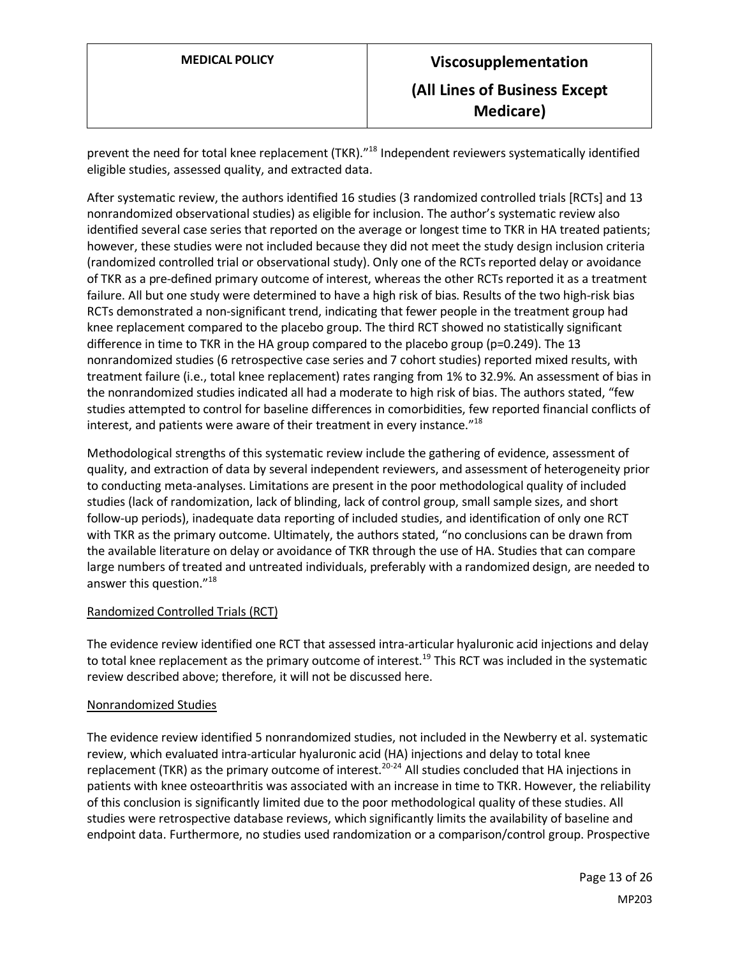prevent the need for total knee replacement (TKR)."<sup>18</sup> Independent reviewers systematically identified eligible studies, assessed quality, and extracted data.

After systematic review, the authors identified 16 studies (3 randomized controlled trials [RCTs] and 13 nonrandomized observational studies) as eligible for inclusion. The author's systematic review also identified several case series that reported on the average or longest time to TKR in HA treated patients; however, these studies were not included because they did not meet the study design inclusion criteria (randomized controlled trial or observational study). Only one of the RCTs reported delay or avoidance of TKR as a pre-defined primary outcome of interest, whereas the other RCTs reported it as a treatment failure. All but one study were determined to have a high risk of bias. Results of the two high-risk bias RCTs demonstrated a non-significant trend, indicating that fewer people in the treatment group had knee replacement compared to the placebo group. The third RCT showed no statistically significant difference in time to TKR in the HA group compared to the placebo group (p=0.249). The 13 nonrandomized studies (6 retrospective case series and 7 cohort studies) reported mixed results, with treatment failure (i.e., total knee replacement) rates ranging from 1% to 32.9%. An assessment of bias in the nonrandomized studies indicated all had a moderate to high risk of bias. The authors stated, "few studies attempted to control for baseline differences in comorbidities, few reported financial conflicts of interest, and patients were aware of their treatment in every instance."<sup>18</sup>

Methodological strengths of this systematic review include the gathering of evidence, assessment of quality, and extraction of data by several independent reviewers, and assessment of heterogeneity prior to conducting meta-analyses. Limitations are present in the poor methodological quality of included studies (lack of randomization, lack of blinding, lack of control group, small sample sizes, and short follow-up periods), inadequate data reporting of included studies, and identification of only one RCT with TKR as the primary outcome. Ultimately, the authors stated, "no conclusions can be drawn from the available literature on delay or avoidance of TKR through the use of HA. Studies that can compare large numbers of treated and untreated individuals, preferably with a randomized design, are needed to answer this question."<sup>18</sup>

# Randomized Controlled Trials (RCT)

The evidence review identified one RCT that assessed intra-articular hyaluronic acid injections and delay to total knee replacement as the primary outcome of interest.<sup>19</sup> This RCT was included in the systematic review described above; therefore, it will not be discussed here.

# Nonrandomized Studies

The evidence review identified 5 nonrandomized studies, not included in the Newberry et al. systematic review, which evaluated intra-articular hyaluronic acid (HA) injections and delay to total knee replacement (TKR) as the primary outcome of interest.<sup>20-24</sup> All studies concluded that HA injections in patients with knee osteoarthritis was associated with an increase in time to TKR. However, the reliability of this conclusion is significantly limited due to the poor methodological quality of these studies. All studies were retrospective database reviews, which significantly limits the availability of baseline and endpoint data. Furthermore, no studies used randomization or a comparison/control group. Prospective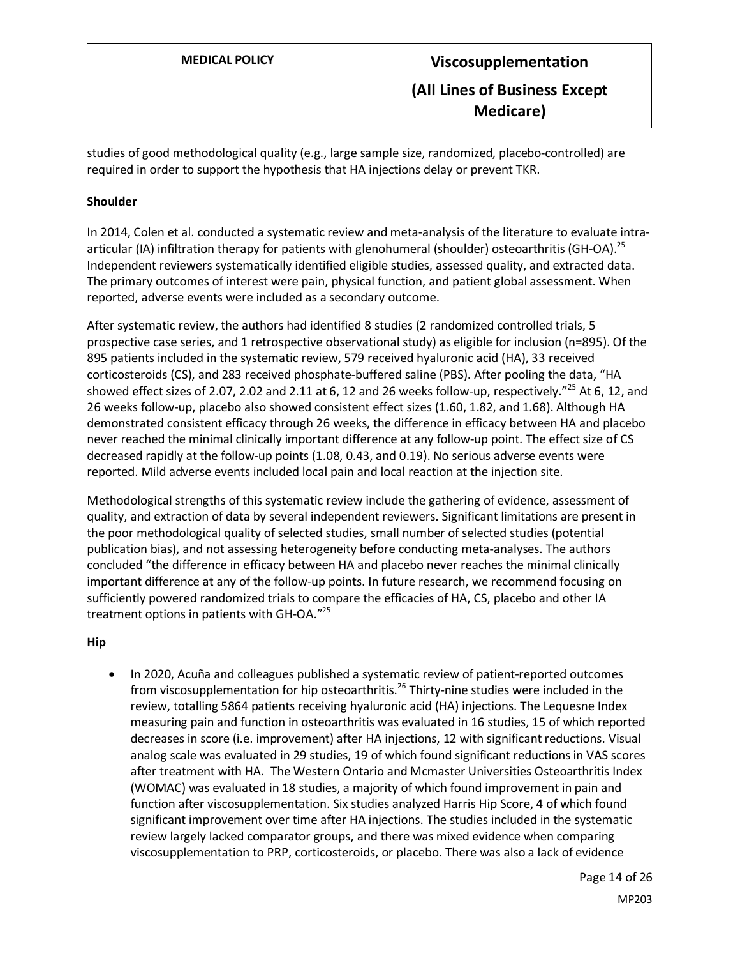studies of good methodological quality (e.g., large sample size, randomized, placebo-controlled) are required in order to support the hypothesis that HA injections delay or prevent TKR.

# **Shoulder**

In 2014, Colen et al. conducted a systematic review and meta-analysis of the literature to evaluate intraarticular (IA) infiltration therapy for patients with glenohumeral (shoulder) osteoarthritis (GH-OA).<sup>25</sup> Independent reviewers systematically identified eligible studies, assessed quality, and extracted data. The primary outcomes of interest were pain, physical function, and patient global assessment. When reported, adverse events were included as a secondary outcome.

After systematic review, the authors had identified 8 studies (2 randomized controlled trials, 5 prospective case series, and 1 retrospective observational study) as eligible for inclusion (n=895). Of the 895 patients included in the systematic review, 579 received hyaluronic acid (HA), 33 received corticosteroids (CS), and 283 received phosphate-buffered saline (PBS). After pooling the data, "HA showed effect sizes of 2.07, 2.02 and 2.11 at 6, 12 and 26 weeks follow-up, respectively."<sup>25</sup> At 6, 12, and 26 weeks follow-up, placebo also showed consistent effect sizes (1.60, 1.82, and 1.68). Although HA demonstrated consistent efficacy through 26 weeks, the difference in efficacy between HA and placebo never reached the minimal clinically important difference at any follow-up point. The effect size of CS decreased rapidly at the follow-up points (1.08, 0.43, and 0.19). No serious adverse events were reported. Mild adverse events included local pain and local reaction at the injection site.

Methodological strengths of this systematic review include the gathering of evidence, assessment of quality, and extraction of data by several independent reviewers. Significant limitations are present in the poor methodological quality of selected studies, small number of selected studies (potential publication bias), and not assessing heterogeneity before conducting meta-analyses. The authors concluded "the difference in efficacy between HA and placebo never reaches the minimal clinically important difference at any of the follow-up points. In future research, we recommend focusing on sufficiently powered randomized trials to compare the efficacies of HA, CS, placebo and other IA treatment options in patients with GH-OA." 25

#### **Hip**

• In 2020, Acuña and colleagues published a systematic review of patient-reported outcomes from viscosupplementation for hip osteoarthritis.<sup>26</sup> Thirty-nine studies were included in the review, totalling 5864 patients receiving hyaluronic acid (HA) injections. The Lequesne Index measuring pain and function in osteoarthritis was evaluated in 16 studies, 15 of which reported decreases in score (i.e. improvement) after HA injections, 12 with significant reductions. Visual analog scale was evaluated in 29 studies, 19 of which found significant reductions in VAS scores after treatment with HA. The Western Ontario and Mcmaster Universities Osteoarthritis Index (WOMAC) was evaluated in 18 studies, a majority of which found improvement in pain and function after viscosupplementation. Six studies analyzed Harris Hip Score, 4 of which found significant improvement over time after HA injections. The studies included in the systematic review largely lacked comparator groups, and there was mixed evidence when comparing viscosupplementation to PRP, corticosteroids, or placebo. There was also a lack of evidence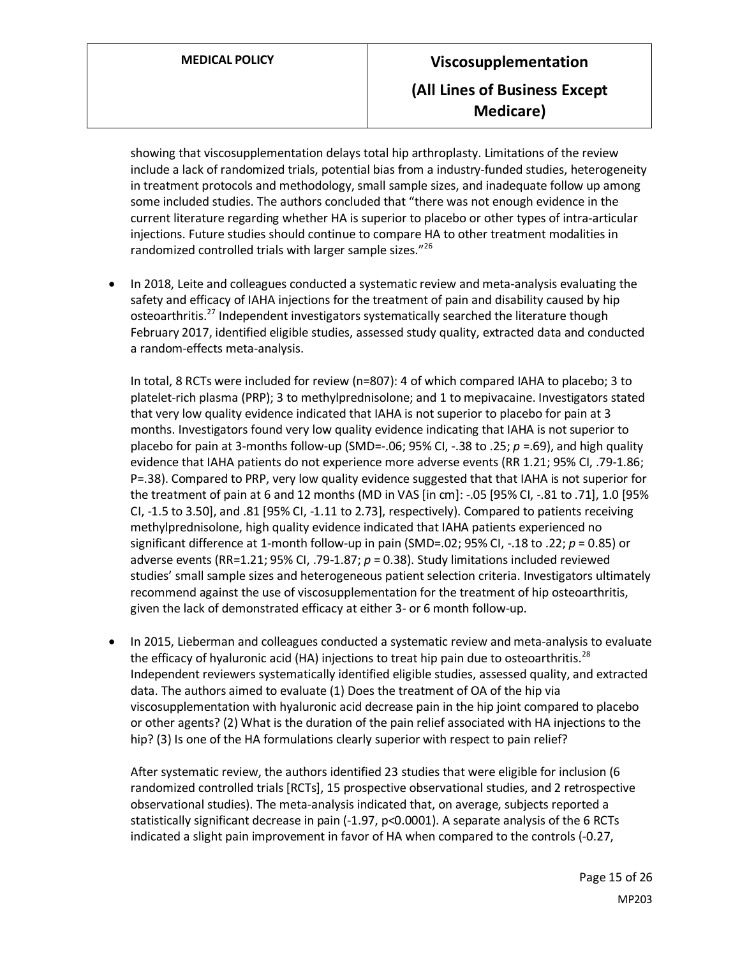showing that viscosupplementation delays total hip arthroplasty. Limitations of the review include a lack of randomized trials, potential bias from a industry-funded studies, heterogeneity in treatment protocols and methodology, small sample sizes, and inadequate follow up among some included studies. The authors concluded that "there was not enough evidence in the current literature regarding whether HA is superior to placebo or other types of intra-articular injections. Future studies should continue to compare HA to other treatment modalities in randomized controlled trials with larger sample sizes."<sup>26</sup>

• In 2018, Leite and colleagues conducted a systematic review and meta-analysis evaluating the safety and efficacy of IAHA injections for the treatment of pain and disability caused by hip osteoarthritis.<sup>27</sup> Independent investigators systematically searched the literature though February 2017, identified eligible studies, assessed study quality, extracted data and conducted a random-effects meta-analysis.

In total, 8 RCTs were included for review (n=807): 4 of which compared IAHA to placebo; 3 to platelet-rich plasma (PRP); 3 to methylprednisolone; and 1 to mepivacaine. Investigators stated that very low quality evidence indicated that IAHA is not superior to placebo for pain at 3 months. Investigators found very low quality evidence indicating that IAHA is not superior to placebo for pain at 3-months follow-up (SMD=-.06; 95% CI, -.38 to .25; *p* =.69), and high quality evidence that IAHA patients do not experience more adverse events (RR 1.21; 95% CI, .79-1.86; P=.38). Compared to PRP, very low quality evidence suggested that that IAHA is not superior for the treatment of pain at 6 and 12 months (MD in VAS [in cm]: -.05 [95% CI, -.81 to .71], 1.0 [95% CI, -1.5 to 3.50], and .81 [95% CI, -1.11 to 2.73], respectively). Compared to patients receiving methylprednisolone, high quality evidence indicated that IAHA patients experienced no significant difference at 1-month follow-up in pain (SMD=.02; 95% CI, -.18 to .22; *p* = 0.85) or adverse events (RR=1.21; 95% CI, .79-1.87; *p* = 0.38). Study limitations included reviewed studies' small sample sizes and heterogeneous patient selection criteria. Investigators ultimately recommend against the use of viscosupplementation for the treatment of hip osteoarthritis, given the lack of demonstrated efficacy at either 3- or 6 month follow-up.

• In 2015, Lieberman and colleagues conducted a systematic review and meta-analysis to evaluate the efficacy of hyaluronic acid (HA) injections to treat hip pain due to osteoarthritis.<sup>28</sup> Independent reviewers systematically identified eligible studies, assessed quality, and extracted data. The authors aimed to evaluate (1) Does the treatment of OA of the hip via viscosupplementation with hyaluronic acid decrease pain in the hip joint compared to placebo or other agents? (2) What is the duration of the pain relief associated with HA injections to the hip? (3) Is one of the HA formulations clearly superior with respect to pain relief?

After systematic review, the authors identified 23 studies that were eligible for inclusion (6 randomized controlled trials [RCTs], 15 prospective observational studies, and 2 retrospective observational studies). The meta-analysis indicated that, on average, subjects reported a statistically significant decrease in pain (-1.97, p<0.0001). A separate analysis of the 6 RCTs indicated a slight pain improvement in favor of HA when compared to the controls (-0.27,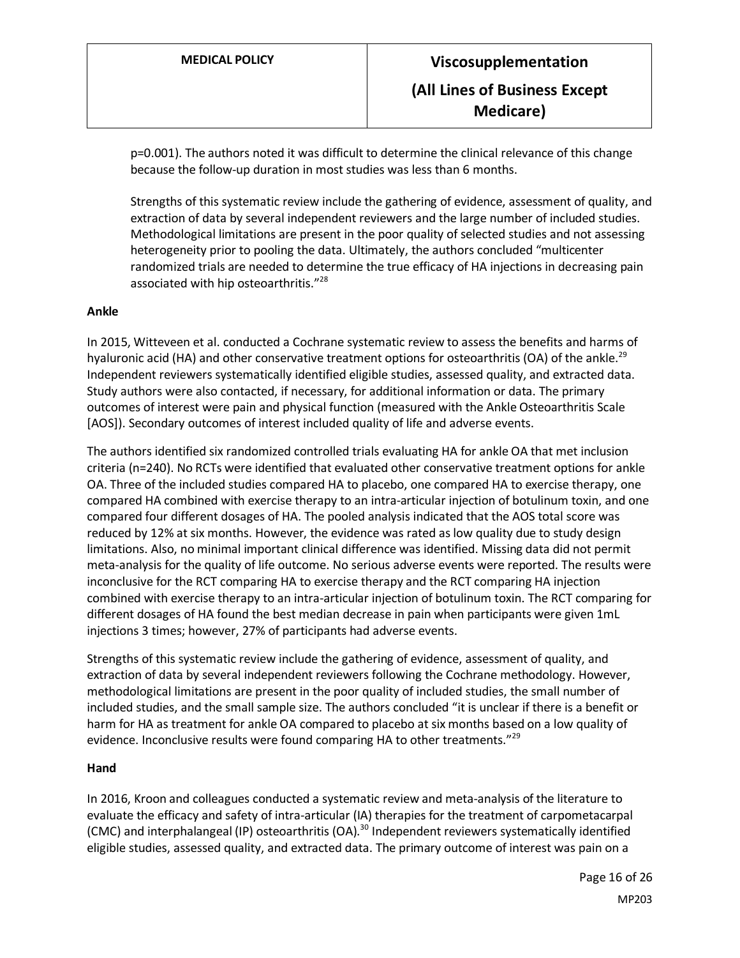p=0.001). The authors noted it was difficult to determine the clinical relevance of this change because the follow-up duration in most studies was less than 6 months.

Strengths of this systematic review include the gathering of evidence, assessment of quality, and extraction of data by several independent reviewers and the large number of included studies. Methodological limitations are present in the poor quality of selected studies and not assessing heterogeneity prior to pooling the data. Ultimately, the authors concluded "multicenter randomized trials are needed to determine the true efficacy of HA injections in decreasing pain associated with hip osteoarthritis."<sup>28</sup>

#### **Ankle**

In 2015, Witteveen et al. conducted a Cochrane systematic review to assess the benefits and harms of hyaluronic acid (HA) and other conservative treatment options for osteoarthritis (OA) of the ankle.<sup>29</sup> Independent reviewers systematically identified eligible studies, assessed quality, and extracted data. Study authors were also contacted, if necessary, for additional information or data. The primary outcomes of interest were pain and physical function (measured with the Ankle Osteoarthritis Scale [AOS]). Secondary outcomes of interest included quality of life and adverse events.

The authors identified six randomized controlled trials evaluating HA for ankle OA that met inclusion criteria (n=240). No RCTs were identified that evaluated other conservative treatment options for ankle OA. Three of the included studies compared HA to placebo, one compared HA to exercise therapy, one compared HA combined with exercise therapy to an intra-articular injection of botulinum toxin, and one compared four different dosages of HA. The pooled analysis indicated that the AOS total score was reduced by 12% at six months. However, the evidence was rated as low quality due to study design limitations. Also, no minimal important clinical difference was identified. Missing data did not permit meta-analysis for the quality of life outcome. No serious adverse events were reported. The results were inconclusive for the RCT comparing HA to exercise therapy and the RCT comparing HA injection combined with exercise therapy to an intra-articular injection of botulinum toxin. The RCT comparing for different dosages of HA found the best median decrease in pain when participants were given 1mL injections 3 times; however, 27% of participants had adverse events.

Strengths of this systematic review include the gathering of evidence, assessment of quality, and extraction of data by several independent reviewers following the Cochrane methodology. However, methodological limitations are present in the poor quality of included studies, the small number of included studies, and the small sample size. The authors concluded "it is unclear if there is a benefit or harm for HA as treatment for ankle OA compared to placebo at six months based on a low quality of evidence. Inconclusive results were found comparing HA to other treatments."<sup>29</sup>

#### **Hand**

In 2016, Kroon and colleagues conducted a systematic review and meta-analysis of the literature to evaluate the efficacy and safety of intra-articular (IA) therapies for the treatment of carpometacarpal (CMC) and interphalangeal (IP) osteoarthritis (OA). <sup>30</sup> Independent reviewers systematically identified eligible studies, assessed quality, and extracted data. The primary outcome of interest was pain on a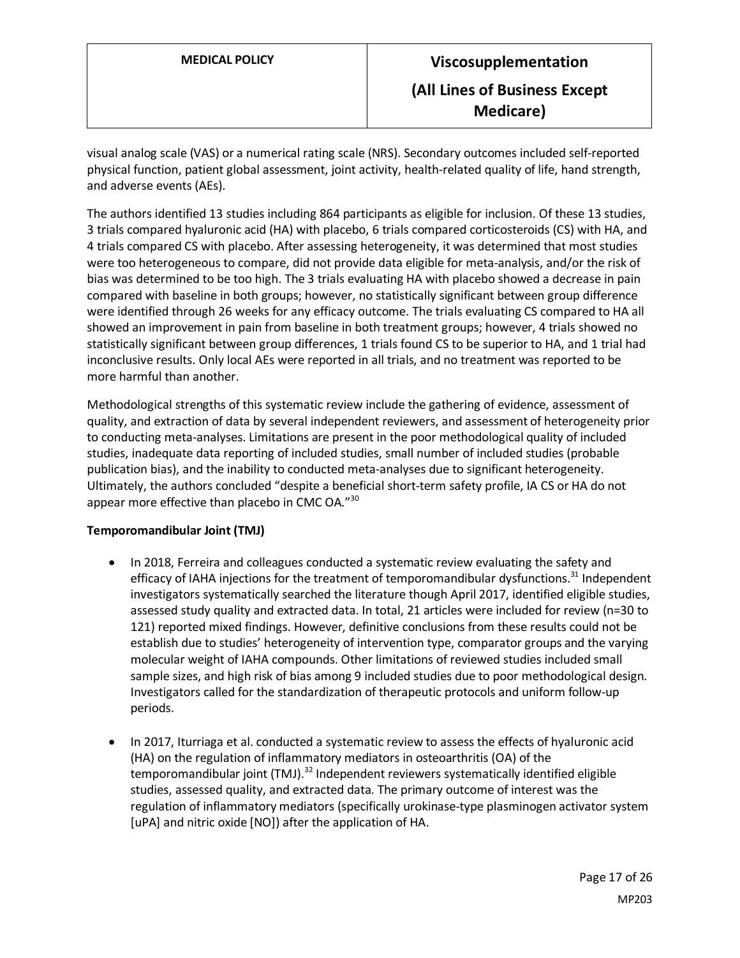visual analog scale (VAS) or a numerical rating scale (NRS). Secondary outcomes included self-reported physical function, patient global assessment, joint activity, health-related quality of life, hand strength, and adverse events (AEs).

The authors identified 13 studies including 864 participants as eligible for inclusion. Of these 13 studies, 3 trials compared hyaluronic acid (HA) with placebo, 6 trials compared corticosteroids (CS) with HA, and 4 trials compared CS with placebo. After assessing heterogeneity, it was determined that most studies were too heterogeneous to compare, did not provide data eligible for meta-analysis, and/or the risk of bias was determined to be too high. The 3 trials evaluating HA with placebo showed a decrease in pain compared with baseline in both groups; however, no statistically significant between group difference were identified through 26 weeks for any efficacy outcome. The trials evaluating CS compared to HA all showed an improvement in pain from baseline in both treatment groups; however, 4 trials showed no statistically significant between group differences, 1 trials found CS to be superior to HA, and 1 trial had inconclusive results. Only local AEs were reported in all trials, and no treatment was reported to be more harmful than another.

Methodological strengths of this systematic review include the gathering of evidence, assessment of quality, and extraction of data by several independent reviewers, and assessment of heterogeneity prior to conducting meta-analyses. Limitations are present in the poor methodological quality of included studies, inadequate data reporting of included studies, small number of included studies (probable publication bias), and the inability to conducted meta-analyses due to significant heterogeneity. Ultimately, the authors concluded "despite a beneficial short-term safety profile, IA CS or HA do not appear more effective than placebo in CMC OA."<sup>30</sup>

#### **Temporomandibular Joint (TMJ)**

- In 2018, Ferreira and colleagues conducted a systematic review evaluating the safety and efficacy of IAHA injections for the treatment of temporomandibular dysfunctions.<sup>31</sup> Independent investigators systematically searched the literature though April 2017, identified eligible studies, assessed study quality and extracted data. In total, 21 articles were included for review (n=30 to 121) reported mixed findings. However, definitive conclusions from these results could not be establish due to studies' heterogeneity of intervention type, comparator groups and the varying molecular weight of IAHA compounds. Other limitations of reviewed studies included small sample sizes, and high risk of bias among 9 included studies due to poor methodological design. Investigators called for the standardization of therapeutic protocols and uniform follow-up periods.
- In 2017, Iturriaga et al. conducted a systematic review to assess the effects of hyaluronic acid (HA) on the regulation of inflammatory mediators in osteoarthritis (OA) of the temporomandibular joint (TMJ).<sup>32</sup> Independent reviewers systematically identified eligible studies, assessed quality, and extracted data. The primary outcome of interest was the regulation of inflammatory mediators (specifically urokinase-type plasminogen activator system [uPA] and nitric oxide [NO]) after the application of HA.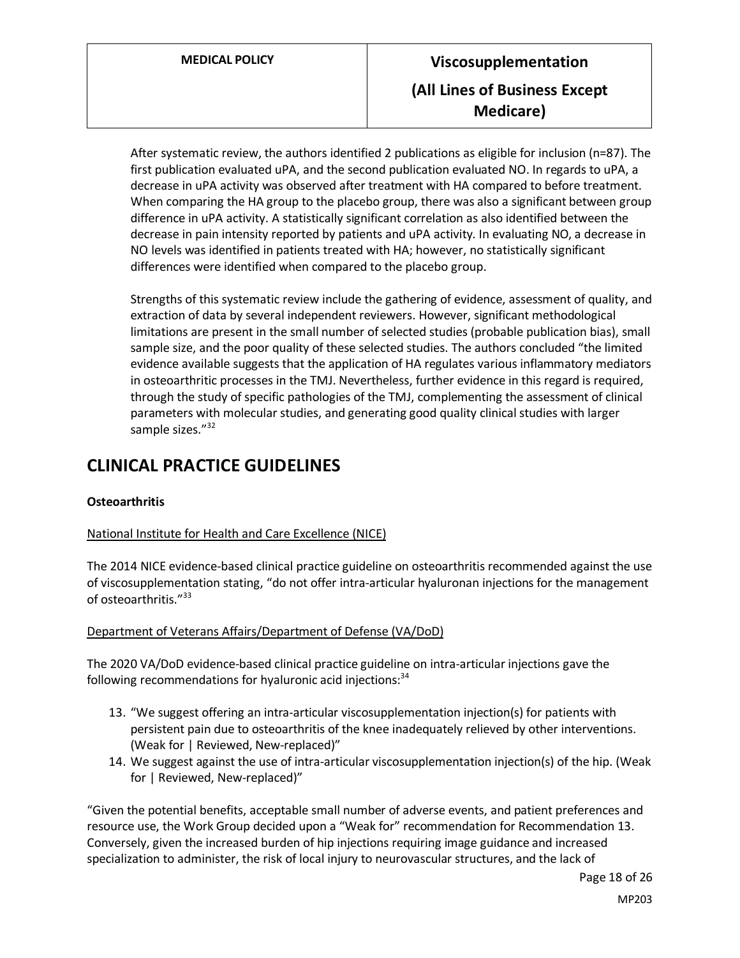After systematic review, the authors identified 2 publications as eligible for inclusion (n=87). The first publication evaluated uPA, and the second publication evaluated NO. In regards to uPA, a decrease in uPA activity was observed after treatment with HA compared to before treatment. When comparing the HA group to the placebo group, there was also a significant between group difference in uPA activity. A statistically significant correlation as also identified between the decrease in pain intensity reported by patients and uPA activity. In evaluating NO, a decrease in NO levels was identified in patients treated with HA; however, no statistically significant differences were identified when compared to the placebo group.

Strengths of this systematic review include the gathering of evidence, assessment of quality, and extraction of data by several independent reviewers. However, significant methodological limitations are present in the small number of selected studies (probable publication bias), small sample size, and the poor quality of these selected studies. The authors concluded "the limited evidence available suggests that the application of HA regulates various inflammatory mediators in osteoarthritic processes in the TMJ. Nevertheless, further evidence in this regard is required, through the study of specific pathologies of the TMJ, complementing the assessment of clinical parameters with molecular studies, and generating good quality clinical studies with larger sample sizes."<sup>32</sup>

# **CLINICAL PRACTICE GUIDELINES**

# **Osteoarthritis**

# National Institute for Health and Care Excellence (NICE)

The 2014 NICE evidence-based clinical practice guideline on osteoarthritis recommended against the use of viscosupplementation stating, "do not offer intra-articular hyaluronan injections for the management of osteoarthritis."<sup>33</sup>

# Department of Veterans Affairs/Department of Defense (VA/DoD)

The 2020 VA/DoD evidence-based clinical practice guideline on intra-articular injections gave the following recommendations for hyaluronic acid injections: $34$ 

- 13. "We suggest offering an intra-articular viscosupplementation injection(s) for patients with persistent pain due to osteoarthritis of the knee inadequately relieved by other interventions. (Weak for | Reviewed, New-replaced)"
- 14. We suggest against the use of intra-articular viscosupplementation injection(s) of the hip. (Weak for | Reviewed, New-replaced)"

"Given the potential benefits, acceptable small number of adverse events, and patient preferences and resource use, the Work Group decided upon a "Weak for" recommendation for Recommendation 13. Conversely, given the increased burden of hip injections requiring image guidance and increased specialization to administer, the risk of local injury to neurovascular structures, and the lack of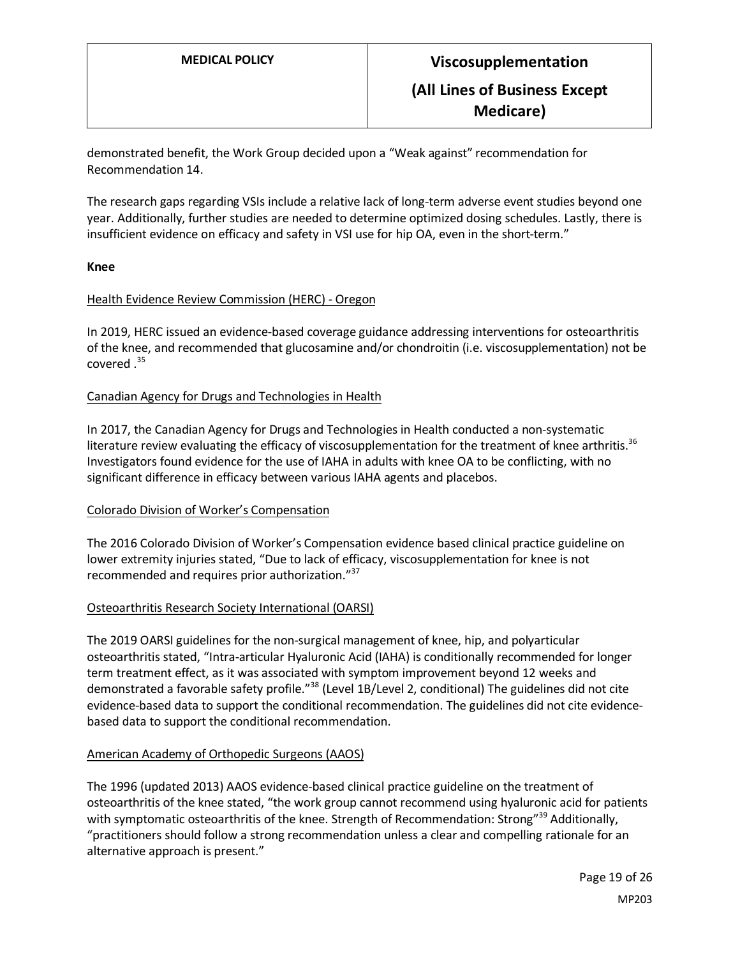demonstrated benefit, the Work Group decided upon a "Weak against" recommendation for Recommendation 14.

The research gaps regarding VSIs include a relative lack of long-term adverse event studies beyond one year. Additionally, further studies are needed to determine optimized dosing schedules. Lastly, there is insufficient evidence on efficacy and safety in VSI use for hip OA, even in the short-term."

#### **Knee**

#### Health Evidence Review Commission (HERC) - Oregon

In 2019, HERC issued an evidence-based coverage guidance addressing interventions for osteoarthritis of the knee, and recommended that glucosamine and/or chondroitin (i.e. viscosupplementation) not be covered .<sup>35</sup>

#### Canadian Agency for Drugs and Technologies in Health

In 2017, the Canadian Agency for Drugs and Technologies in Health conducted a non-systematic literature review evaluating the efficacy of viscosupplementation for the treatment of knee arthritis.<sup>36</sup> Investigators found evidence for the use of IAHA in adults with knee OA to be conflicting, with no significant difference in efficacy between various IAHA agents and placebos.

#### Colorado Division of Worker's Compensation

The 2016 Colorado Division of Worker's Compensation evidence based clinical practice guideline on lower extremity injuries stated, "Due to lack of efficacy, viscosupplementation for knee is not recommended and requires prior authorization."<sup>37</sup>

#### Osteoarthritis Research Society International (OARSI)

The 2019 OARSI guidelines for the non-surgical management of knee, hip, and polyarticular osteoarthritis stated, "Intra-articular Hyaluronic Acid (IAHA) is conditionally recommended for longer term treatment effect, as it was associated with symptom improvement beyond 12 weeks and demonstrated a favorable safety profile."<sup>38</sup> (Level 1B/Level 2, conditional) The guidelines did not cite evidence-based data to support the conditional recommendation. The guidelines did not cite evidencebased data to support the conditional recommendation.

#### American Academy of Orthopedic Surgeons (AAOS)

The 1996 (updated 2013) AAOS evidence-based clinical practice guideline on the treatment of osteoarthritis of the knee stated, "the work group cannot recommend using hyaluronic acid for patients with symptomatic osteoarthritis of the knee. Strength of Recommendation: Strong"<sup>39</sup> Additionally, "practitioners should follow a strong recommendation unless a clear and compelling rationale for an alternative approach is present."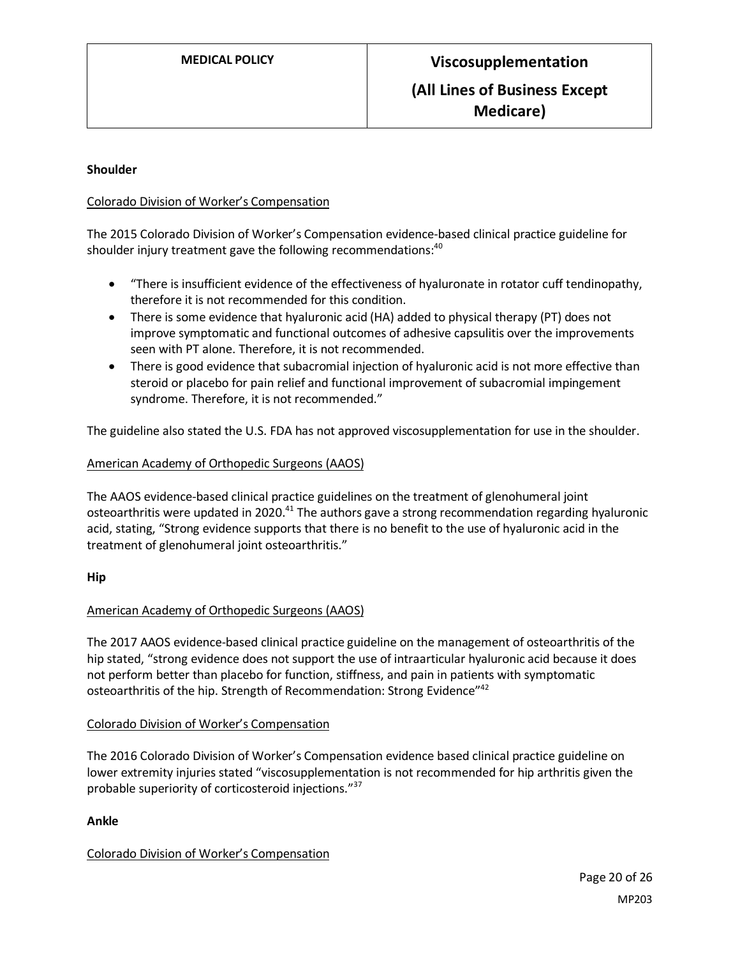#### **Shoulder**

## Colorado Division of Worker's Compensation

The 2015 Colorado Division of Worker's Compensation evidence-based clinical practice guideline for shoulder injury treatment gave the following recommendations:<sup>40</sup>

- "There is insufficient evidence of the effectiveness of hyaluronate in rotator cuff tendinopathy, therefore it is not recommended for this condition.
- There is some evidence that hyaluronic acid (HA) added to physical therapy (PT) does not improve symptomatic and functional outcomes of adhesive capsulitis over the improvements seen with PT alone. Therefore, it is not recommended.
- There is good evidence that subacromial injection of hyaluronic acid is not more effective than steroid or placebo for pain relief and functional improvement of subacromial impingement syndrome. Therefore, it is not recommended."

The guideline also stated the U.S. FDA has not approved viscosupplementation for use in the shoulder.

## American Academy of Orthopedic Surgeons (AAOS)

The AAOS evidence-based clinical practice guidelines on the treatment of glenohumeral joint osteoarthritis were updated in 2020.<sup>41</sup> The authors gave a strong recommendation regarding hyaluronic acid, stating, "Strong evidence supports that there is no benefit to the use of hyaluronic acid in the treatment of glenohumeral joint osteoarthritis."

#### **Hip**

# American Academy of Orthopedic Surgeons (AAOS)

The 2017 AAOS evidence-based clinical practice guideline on the management of osteoarthritis of the hip stated, "strong evidence does not support the use of intraarticular hyaluronic acid because it does not perform better than placebo for function, stiffness, and pain in patients with symptomatic osteoarthritis of the hip. Strength of Recommendation: Strong Evidence"<sup>42</sup>

#### Colorado Division of Worker's Compensation

The 2016 Colorado Division of Worker's Compensation evidence based clinical practice guideline on lower extremity injuries stated "viscosupplementation is not recommended for hip arthritis given the probable superiority of corticosteroid injections."<sup>37</sup>

#### **Ankle**

# Colorado Division of Worker's Compensation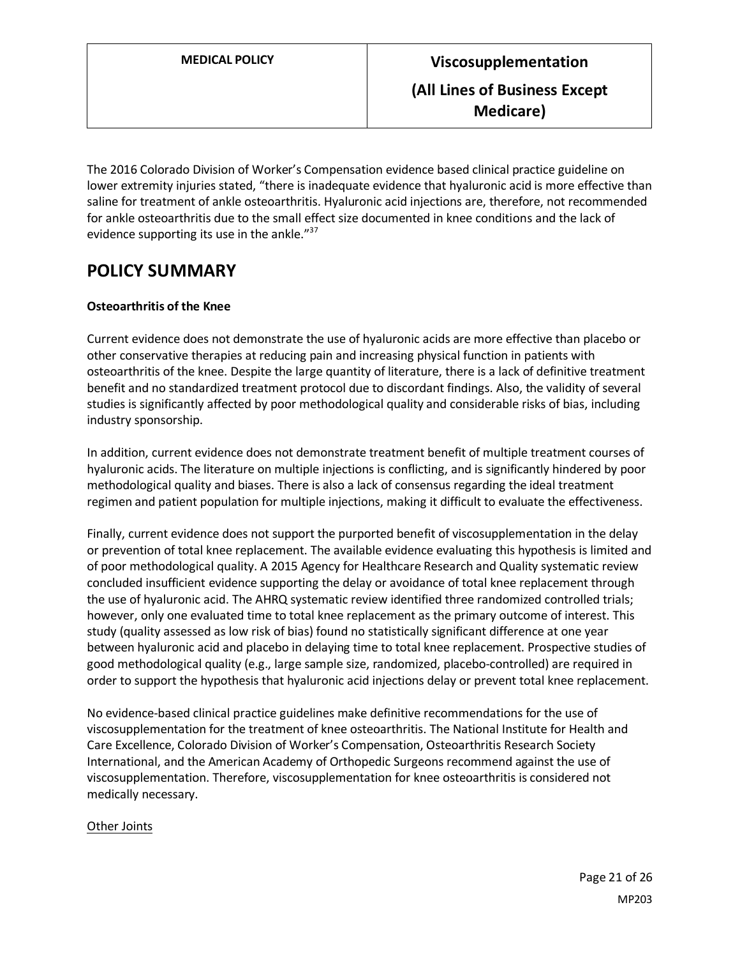The 2016 Colorado Division of Worker's Compensation evidence based clinical practice guideline on lower extremity injuries stated, "there is inadequate evidence that hyaluronic acid is more effective than saline for treatment of ankle osteoarthritis. Hyaluronic acid injections are, therefore, not recommended for ankle osteoarthritis due to the small effect size documented in knee conditions and the lack of evidence supporting its use in the ankle."<sup>37</sup>

# <span id="page-20-0"></span>**POLICY SUMMARY**

# **Osteoarthritis of the Knee**

Current evidence does not demonstrate the use of hyaluronic acids are more effective than placebo or other conservative therapies at reducing pain and increasing physical function in patients with osteoarthritis of the knee. Despite the large quantity of literature, there is a lack of definitive treatment benefit and no standardized treatment protocol due to discordant findings. Also, the validity of several studies is significantly affected by poor methodological quality and considerable risks of bias, including industry sponsorship.

In addition, current evidence does not demonstrate treatment benefit of multiple treatment courses of hyaluronic acids. The literature on multiple injections is conflicting, and is significantly hindered by poor methodological quality and biases. There is also a lack of consensus regarding the ideal treatment regimen and patient population for multiple injections, making it difficult to evaluate the effectiveness.

Finally, current evidence does not support the purported benefit of viscosupplementation in the delay or prevention of total knee replacement. The available evidence evaluating this hypothesis is limited and of poor methodological quality. A 2015 Agency for Healthcare Research and Quality systematic review concluded insufficient evidence supporting the delay or avoidance of total knee replacement through the use of hyaluronic acid. The AHRQ systematic review identified three randomized controlled trials; however, only one evaluated time to total knee replacement as the primary outcome of interest. This study (quality assessed as low risk of bias) found no statistically significant difference at one year between hyaluronic acid and placebo in delaying time to total knee replacement. Prospective studies of good methodological quality (e.g., large sample size, randomized, placebo-controlled) are required in order to support the hypothesis that hyaluronic acid injections delay or prevent total knee replacement.

No evidence-based clinical practice guidelines make definitive recommendations for the use of viscosupplementation for the treatment of knee osteoarthritis. The National Institute for Health and Care Excellence, Colorado Division of Worker's Compensation, Osteoarthritis Research Society International, and the American Academy of Orthopedic Surgeons recommend against the use of viscosupplementation. Therefore, viscosupplementation for knee osteoarthritis is considered not medically necessary.

# Other Joints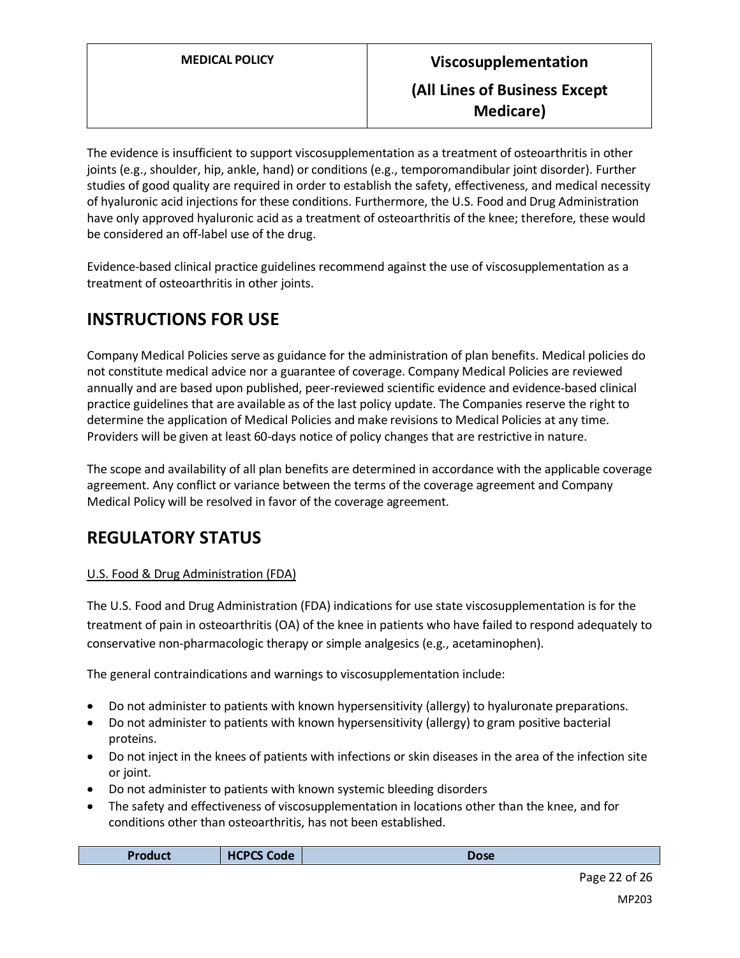The evidence is insufficient to support viscosupplementation as a treatment of osteoarthritis in other joints (e.g., shoulder, hip, ankle, hand) or conditions (e.g., temporomandibular joint disorder). Further studies of good quality are required in order to establish the safety, effectiveness, and medical necessity of hyaluronic acid injections for these conditions. Furthermore, the U.S. Food and Drug Administration have only approved hyaluronic acid as a treatment of osteoarthritis of the knee; therefore, these would be considered an off-label use of the drug.

Evidence-based clinical practice guidelines recommend against the use of viscosupplementation as a treatment of osteoarthritis in other joints.

# **INSTRUCTIONS FOR USE**

Company Medical Policies serve as guidance for the administration of plan benefits. Medical policies do not constitute medical advice nor a guarantee of coverage. Company Medical Policies are reviewed annually and are based upon published, peer-reviewed scientific evidence and evidence-based clinical practice guidelines that are available as of the last policy update. The Companies reserve the right to determine the application of Medical Policies and make revisions to Medical Policies at any time. Providers will be given at least 60-days notice of policy changes that are restrictive in nature.

The scope and availability of all plan benefits are determined in accordance with the applicable coverage agreement. Any conflict or variance between the terms of the coverage agreement and Company Medical Policy will be resolved in favor of the coverage agreement.

# **REGULATORY STATUS**

# U.S. Food & Drug Administration (FDA)

The U.S. Food and Drug Administration (FDA) indications for use state viscosupplementation is for the treatment of pain in osteoarthritis (OA) of the knee in patients who have failed to respond adequately to conservative non-pharmacologic therapy or simple analgesics (e.g., acetaminophen).

The general contraindications and warnings to viscosupplementation include:

- Do not administer to patients with known hypersensitivity (allergy) to hyaluronate preparations.
- Do not administer to patients with known hypersensitivity (allergy) to gram positive bacterial proteins.
- Do not inject in the knees of patients with infections or skin diseases in the area of the infection site or joint.
- Do not administer to patients with known systemic bleeding disorders
- The safety and effectiveness of viscosupplementation in locations other than the knee, and for conditions other than osteoarthritis, has not been established.

| Pro.<br>oduct | code<br><b>HCPC</b><br>$\sim$ | ose ( |
|---------------|-------------------------------|-------|
|               |                               |       |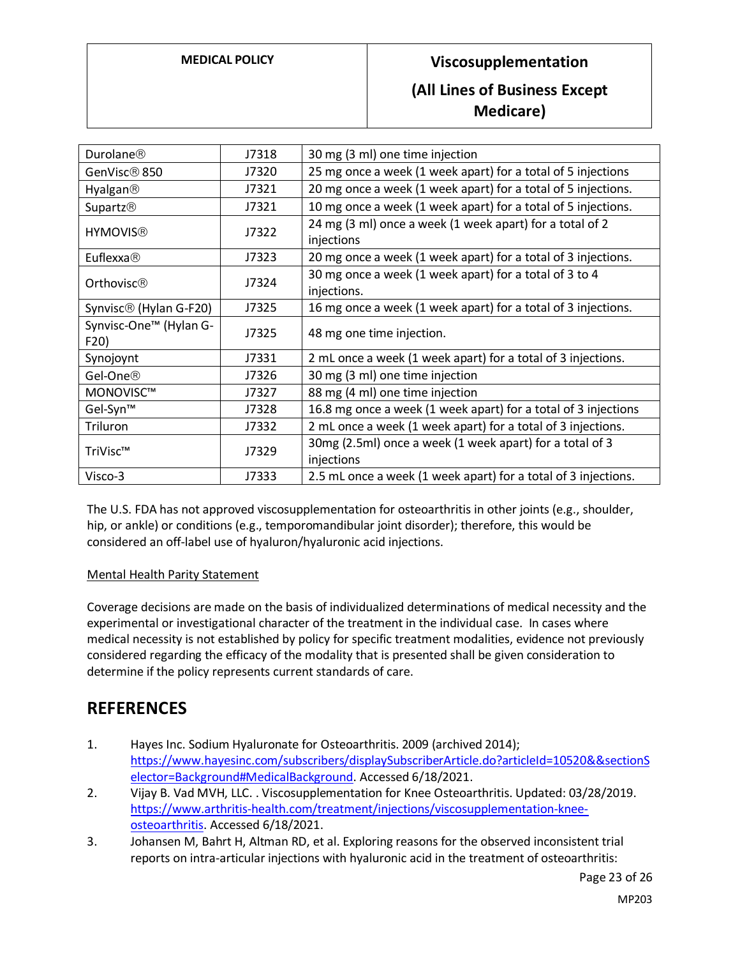# **MEDICAL POLICY Viscosupplementation (All Lines of Business Except**

**Medicare)**

| Durolane®                          | J7318 | 30 mg (3 ml) one time injection                                        |
|------------------------------------|-------|------------------------------------------------------------------------|
| GenVisc <sup>®</sup> 850           | J7320 | 25 mg once a week (1 week apart) for a total of 5 injections           |
| Hyalgan <sup>®</sup>               | J7321 | 20 mg once a week (1 week apart) for a total of 5 injections.          |
| Supartz <sup>®</sup>               | J7321 | 10 mg once a week (1 week apart) for a total of 5 injections.          |
| <b>HYMOVIS®</b>                    | J7322 | 24 mg (3 ml) once a week (1 week apart) for a total of 2<br>injections |
| Euflexxa $\circledR$               | J7323 | 20 mg once a week (1 week apart) for a total of 3 injections.          |
| Orthovisc®                         | J7324 | 30 mg once a week (1 week apart) for a total of 3 to 4<br>injections.  |
| Synvisc <sup>®</sup> (Hylan G-F20) | J7325 | 16 mg once a week (1 week apart) for a total of 3 injections.          |
| Synvisc-One™ (Hylan G-<br>F20)     | J7325 | 48 mg one time injection.                                              |
| Synojoynt                          | J7331 | 2 mL once a week (1 week apart) for a total of 3 injections.           |
| Gel-One <sup>®</sup>               | J7326 | 30 mg (3 ml) one time injection                                        |
| MONOVISC™                          | J7327 | 88 mg (4 ml) one time injection                                        |
| Gel-Syn™                           | J7328 | 16.8 mg once a week (1 week apart) for a total of 3 injections         |
| Triluron                           | J7332 | 2 mL once a week (1 week apart) for a total of 3 injections.           |
| TriVisc™                           | J7329 | 30mg (2.5ml) once a week (1 week apart) for a total of 3<br>injections |
| Visco-3                            | J7333 | 2.5 mL once a week (1 week apart) for a total of 3 injections.         |

The U.S. FDA has not approved viscosupplementation for osteoarthritis in other joints (e.g., shoulder, hip, or ankle) or conditions (e.g., temporomandibular joint disorder); therefore, this would be considered an off-label use of hyaluron/hyaluronic acid injections.

#### Mental Health Parity Statement

Coverage decisions are made on the basis of individualized determinations of medical necessity and the experimental or investigational character of the treatment in the individual case. In cases where medical necessity is not established by policy for specific treatment modalities, evidence not previously considered regarding the efficacy of the modality that is presented shall be given consideration to determine if the policy represents current standards of care.

# **REFERENCES**

- 1. Hayes Inc. Sodium Hyaluronate for Osteoarthritis. 2009 (archived 2014); [https://www.hayesinc.com/subscribers/displaySubscriberArticle.do?articleId=10520&&sectionS](https://www.hayesinc.com/subscribers/displaySubscriberArticle.do?articleId=10520&§ionSelector=Background#MedicalBackground) [elector=Background#MedicalBackground.](https://www.hayesinc.com/subscribers/displaySubscriberArticle.do?articleId=10520&§ionSelector=Background#MedicalBackground) Accessed 6/18/2021.
- 2. Vijay B. Vad MVH, LLC. . Viscosupplementation for Knee Osteoarthritis. Updated: 03/28/2019. [https://www.arthritis-health.com/treatment/injections/viscosupplementation-knee](https://www.arthritis-health.com/treatment/injections/viscosupplementation-knee-osteoarthritis)[osteoarthritis.](https://www.arthritis-health.com/treatment/injections/viscosupplementation-knee-osteoarthritis) Accessed 6/18/2021.
- 3. Johansen M, Bahrt H, Altman RD, et al. Exploring reasons for the observed inconsistent trial reports on intra-articular injections with hyaluronic acid in the treatment of osteoarthritis: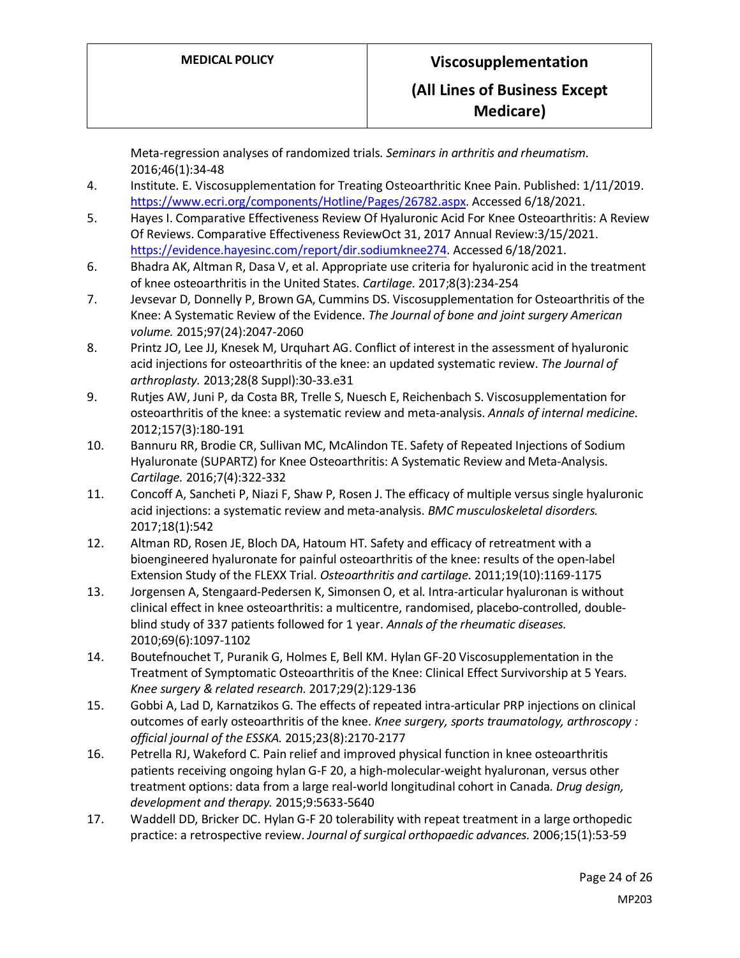Meta-regression analyses of randomized trials. *Seminars in arthritis and rheumatism.*  2016;46(1):34-48

- 4. Institute. E. Viscosupplementation for Treating Osteoarthritic Knee Pain. Published: 1/11/2019. [https://www.ecri.org/components/Hotline/Pages/26782.aspx.](https://www.ecri.org/components/Hotline/Pages/26782.aspx) Accessed 6/18/2021.
- 5. Hayes I. Comparative Effectiveness Review Of Hyaluronic Acid For Knee Osteoarthritis: A Review Of Reviews. Comparative Effectiveness ReviewOct 31, 2017 Annual Review:3/15/2021. [https://evidence.hayesinc.com/report/dir.sodiumknee274.](https://evidence.hayesinc.com/report/dir.sodiumknee274) Accessed 6/18/2021.
- 6. Bhadra AK, Altman R, Dasa V, et al. Appropriate use criteria for hyaluronic acid in the treatment of knee osteoarthritis in the United States. *Cartilage.* 2017;8(3):234-254
- 7. Jevsevar D, Donnelly P, Brown GA, Cummins DS. Viscosupplementation for Osteoarthritis of the Knee: A Systematic Review of the Evidence. *The Journal of bone and joint surgery American volume.* 2015;97(24):2047-2060
- 8. Printz JO, Lee JJ, Knesek M, Urquhart AG. Conflict of interest in the assessment of hyaluronic acid injections for osteoarthritis of the knee: an updated systematic review. *The Journal of arthroplasty.* 2013;28(8 Suppl):30-33.e31
- 9. Rutjes AW, Juni P, da Costa BR, Trelle S, Nuesch E, Reichenbach S. Viscosupplementation for osteoarthritis of the knee: a systematic review and meta-analysis. *Annals of internal medicine.*  2012;157(3):180-191
- 10. Bannuru RR, Brodie CR, Sullivan MC, McAlindon TE. Safety of Repeated Injections of Sodium Hyaluronate (SUPARTZ) for Knee Osteoarthritis: A Systematic Review and Meta-Analysis. *Cartilage.* 2016;7(4):322-332
- 11. Concoff A, Sancheti P, Niazi F, Shaw P, Rosen J. The efficacy of multiple versus single hyaluronic acid injections: a systematic review and meta-analysis. *BMC musculoskeletal disorders.*  2017;18(1):542
- 12. Altman RD, Rosen JE, Bloch DA, Hatoum HT. Safety and efficacy of retreatment with a bioengineered hyaluronate for painful osteoarthritis of the knee: results of the open-label Extension Study of the FLEXX Trial. *Osteoarthritis and cartilage.* 2011;19(10):1169-1175
- 13. Jorgensen A, Stengaard-Pedersen K, Simonsen O, et al. Intra-articular hyaluronan is without clinical effect in knee osteoarthritis: a multicentre, randomised, placebo-controlled, doubleblind study of 337 patients followed for 1 year. *Annals of the rheumatic diseases.*  2010;69(6):1097-1102
- 14. Boutefnouchet T, Puranik G, Holmes E, Bell KM. Hylan GF-20 Viscosupplementation in the Treatment of Symptomatic Osteoarthritis of the Knee: Clinical Effect Survivorship at 5 Years. *Knee surgery & related research.* 2017;29(2):129-136
- 15. Gobbi A, Lad D, Karnatzikos G. The effects of repeated intra-articular PRP injections on clinical outcomes of early osteoarthritis of the knee. *Knee surgery, sports traumatology, arthroscopy : official journal of the ESSKA.* 2015;23(8):2170-2177
- 16. Petrella RJ, Wakeford C. Pain relief and improved physical function in knee osteoarthritis patients receiving ongoing hylan G-F 20, a high-molecular-weight hyaluronan, versus other treatment options: data from a large real-world longitudinal cohort in Canada. *Drug design, development and therapy.* 2015;9:5633-5640
- 17. Waddell DD, Bricker DC. Hylan G-F 20 tolerability with repeat treatment in a large orthopedic practice: a retrospective review. *Journal of surgical orthopaedic advances.* 2006;15(1):53-59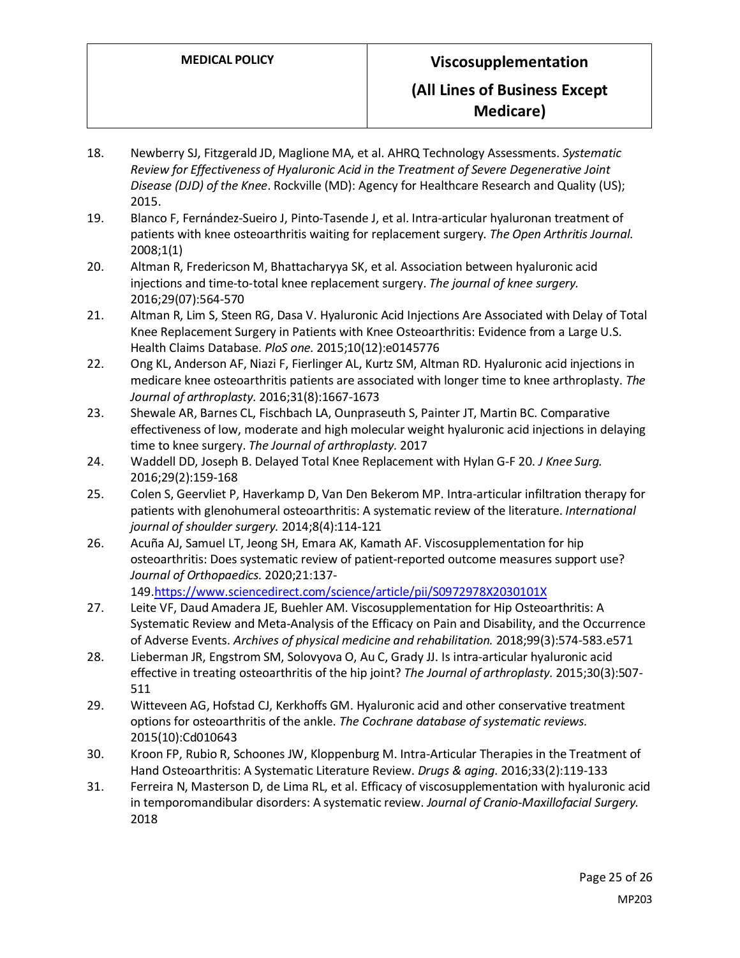- 18. Newberry SJ, Fitzgerald JD, Maglione MA, et al. AHRQ Technology Assessments. *Systematic Review for Effectiveness of Hyaluronic Acid in the Treatment of Severe Degenerative Joint Disease (DJD) of the Knee*. Rockville (MD): Agency for Healthcare Research and Quality (US); 2015.
- 19. Blanco F, Fernández-Sueiro J, Pinto-Tasende J, et al. Intra-articular hyaluronan treatment of patients with knee osteoarthritis waiting for replacement surgery. *The Open Arthritis Journal.*  2008;1(1)
- 20. Altman R, Fredericson M, Bhattacharyya SK, et al. Association between hyaluronic acid injections and time-to-total knee replacement surgery. *The journal of knee surgery.*  2016;29(07):564-570
- 21. Altman R, Lim S, Steen RG, Dasa V. Hyaluronic Acid Injections Are Associated with Delay of Total Knee Replacement Surgery in Patients with Knee Osteoarthritis: Evidence from a Large U.S. Health Claims Database. *PloS one.* 2015;10(12):e0145776
- 22. Ong KL, Anderson AF, Niazi F, Fierlinger AL, Kurtz SM, Altman RD. Hyaluronic acid injections in medicare knee osteoarthritis patients are associated with longer time to knee arthroplasty. *The Journal of arthroplasty.* 2016;31(8):1667-1673
- 23. Shewale AR, Barnes CL, Fischbach LA, Ounpraseuth S, Painter JT, Martin BC. Comparative effectiveness of low, moderate and high molecular weight hyaluronic acid injections in delaying time to knee surgery. *The Journal of arthroplasty.* 2017
- 24. Waddell DD, Joseph B. Delayed Total Knee Replacement with Hylan G-F 20. *J Knee Surg.*  2016;29(2):159-168
- 25. Colen S, Geervliet P, Haverkamp D, Van Den Bekerom MP. Intra-articular infiltration therapy for patients with glenohumeral osteoarthritis: A systematic review of the literature. *International journal of shoulder surgery.* 2014;8(4):114-121
- 26. Acuña AJ, Samuel LT, Jeong SH, Emara AK, Kamath AF. Viscosupplementation for hip osteoarthritis: Does systematic review of patient-reported outcome measures support use? *Journal of Orthopaedics.* 2020;21:137- 149[.https://www.sciencedirect.com/science/article/pii/S0972978X2030101X](https://www.sciencedirect.com/science/article/pii/S0972978X2030101X)
- 27. Leite VF, Daud Amadera JE, Buehler AM. Viscosupplementation for Hip Osteoarthritis: A Systematic Review and Meta-Analysis of the Efficacy on Pain and Disability, and the Occurrence of Adverse Events. *Archives of physical medicine and rehabilitation.* 2018;99(3):574-583.e571
- 28. Lieberman JR, Engstrom SM, Solovyova O, Au C, Grady JJ. Is intra-articular hyaluronic acid effective in treating osteoarthritis of the hip joint? *The Journal of arthroplasty.* 2015;30(3):507- 511
- 29. Witteveen AG, Hofstad CJ, Kerkhoffs GM. Hyaluronic acid and other conservative treatment options for osteoarthritis of the ankle. *The Cochrane database of systematic reviews.*  2015(10):Cd010643
- 30. Kroon FP, Rubio R, Schoones JW, Kloppenburg M. Intra-Articular Therapies in the Treatment of Hand Osteoarthritis: A Systematic Literature Review. *Drugs & aging.* 2016;33(2):119-133
- 31. Ferreira N, Masterson D, de Lima RL, et al. Efficacy of viscosupplementation with hyaluronic acid in temporomandibular disorders: A systematic review. *Journal of Cranio-Maxillofacial Surgery.*  2018